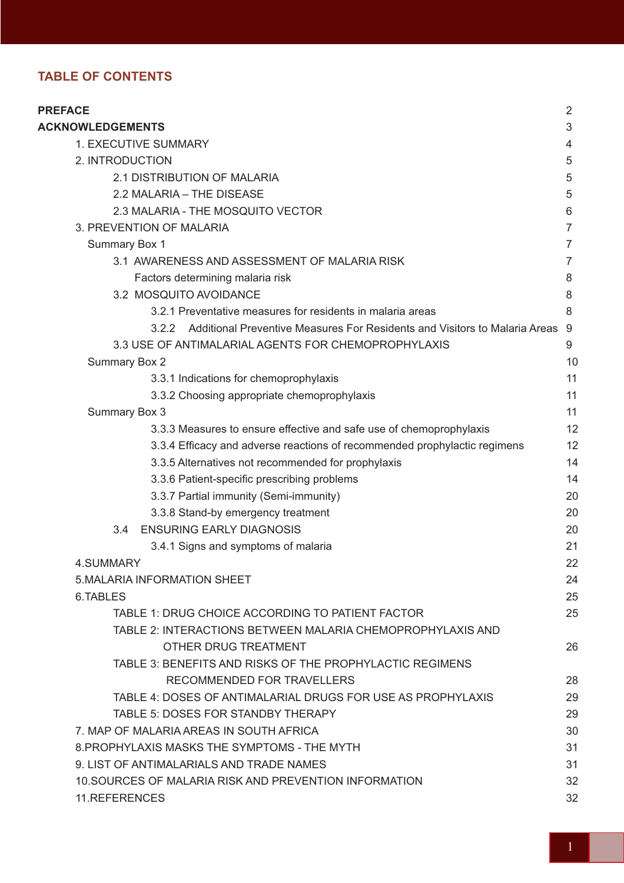# **TABLE OF CONTENTS**

| <b>PREFACE</b>                                                                      | $\overline{2}$ |
|-------------------------------------------------------------------------------------|----------------|
| <b>ACKNOWLEDGEMENTS</b>                                                             | 3              |
| <b>1. EXECUTIVE SUMMARY</b>                                                         | 4              |
| 2. INTRODUCTION                                                                     | 5              |
| 2.1 DISTRIBUTION OF MALARIA                                                         | 5              |
| 2.2 MALARIA - THE DISEASE                                                           | 5              |
| 2.3 MALARIA - THE MOSQUITO VECTOR                                                   | 6              |
| 3. PREVENTION OF MALARIA                                                            | $\overline{7}$ |
| Summary Box 1                                                                       | $\overline{7}$ |
| 3.1 AWARENESS AND ASSESSMENT OF MALARIA RISK                                        | $\overline{7}$ |
| Factors determining malaria risk                                                    | 8              |
| 3.2 MOSQUITO AVOIDANCE                                                              | 8              |
| 3.2.1 Preventative measures for residents in malaria areas                          | 8              |
| Additional Preventive Measures For Residents and Visitors to Malaria Areas<br>3.2.2 | -9             |
| 3.3 USE OF ANTIMALARIAL AGENTS FOR CHEMOPROPHYLAXIS                                 | 9              |
| <b>Summary Box 2</b>                                                                | 10             |
| 3.3.1 Indications for chemoprophylaxis                                              | 11             |
| 3.3.2 Choosing appropriate chemoprophylaxis                                         | 11             |
| Summary Box 3                                                                       | 11             |
| 3.3.3 Measures to ensure effective and safe use of chemoprophylaxis                 | 12             |
| 3.3.4 Efficacy and adverse reactions of recommended prophylactic regimens           | 12             |
| 3.3.5 Alternatives not recommended for prophylaxis                                  | 14             |
| 3.3.6 Patient-specific prescribing problems                                         | 14             |
| 3.3.7 Partial immunity (Semi-immunity)                                              | 20             |
| 3.3.8 Stand-by emergency treatment                                                  | 20             |
| <b>ENSURING EARLY DIAGNOSIS</b><br>$3.4^{\circ}$                                    | 20             |
| 3.4.1 Signs and symptoms of malaria                                                 | 21             |
| 4.SUMMARY                                                                           | 22             |
| <b>5.MALARIA INFORMATION SHEET</b>                                                  | 24             |
| 6. TABLES                                                                           | 25             |
| TABLE 1: DRUG CHOICE ACCORDING TO PATIENT FACTOR                                    | 25             |
| TABLE 2: INTERACTIONS BETWEEN MALARIA CHEMOPROPHYLAXIS AND                          |                |
| OTHER DRUG TREATMENT                                                                | 26             |
| TABLE 3: BENEFITS AND RISKS OF THE PROPHYLACTIC REGIMENS                            |                |
| RECOMMENDED FOR TRAVELLERS                                                          | 28             |
| TABLE 4: DOSES OF ANTIMALARIAL DRUGS FOR USE AS PROPHYLAXIS                         | 29             |
| TABLE 5: DOSES FOR STANDBY THERAPY                                                  | 29             |
| 7. MAP OF MALARIA AREAS IN SOUTH AFRICA                                             | 30             |
| 8. PROPHYLAXIS MASKS THE SYMPTOMS - THE MYTH                                        | 31             |
| 9. LIST OF ANTIMALARIALS AND TRADE NAMES                                            | 31             |
| 10. SOURCES OF MALARIA RISK AND PREVENTION INFORMATION                              | 32             |
| 11.REFERENCES                                                                       | 32             |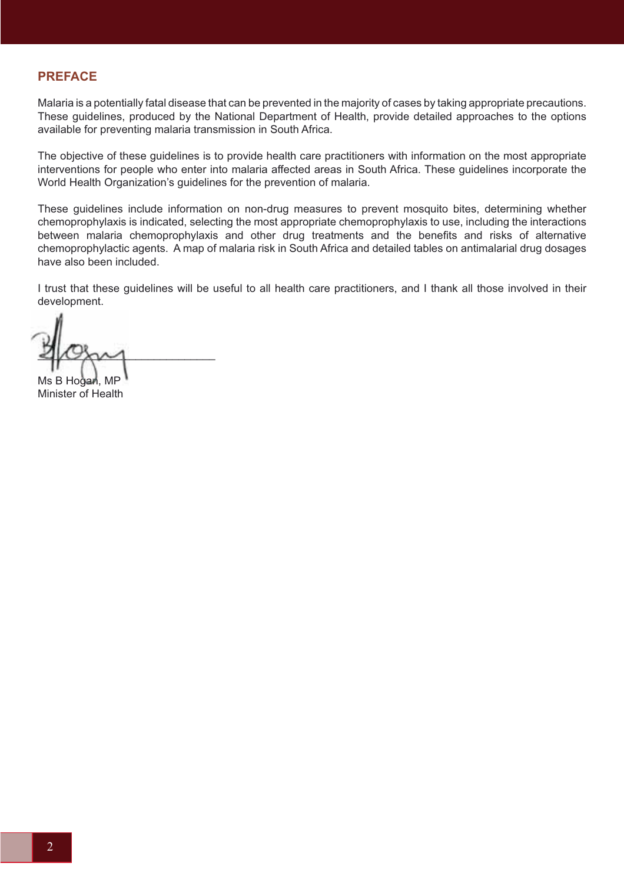# **PREFACE**

Malaria is a potentially fatal disease that can be prevented in the majority of cases by taking appropriate precautions. These guidelines, produced by the National Department of Health, provide detailed approaches to the options available for preventing malaria transmission in South Africa.

The objective of these guidelines is to provide health care practitioners with information on the most appropriate interventions for people who enter into malaria affected areas in South Africa. These guidelines incorporate the World Health Organization's guidelines for the prevention of malaria.

These guidelines include information on non-drug measures to prevent mosquito bites, determining whether chemoprophylaxis is indicated, selecting the most appropriate chemoprophylaxis to use, including the interactions between malaria chemoprophylaxis and other drug treatments and the benefits and risks of alternative chemoprophylactic agents. A map of malaria risk in South Africa and detailed tables on antimalarial drug dosages have also been included.

I trust that these guidelines will be useful to all health care practitioners, and I thank all those involved in their development.

 $2\omega$ Ms B Hoġari, MP  $40$ 

Minister of Health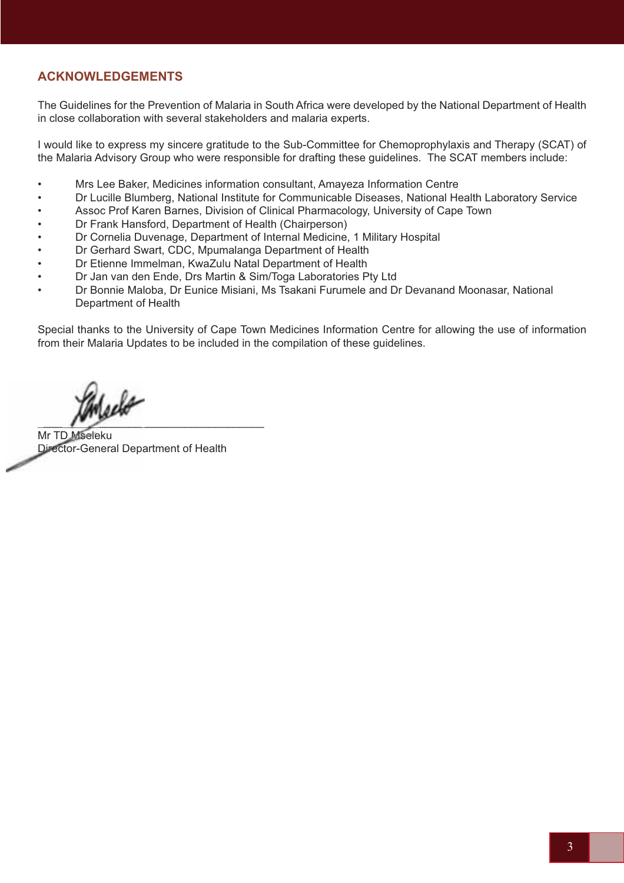# **ACKNOWLEDGEMENTS**

The Guidelines for the Prevention of Malaria in South Africa were developed by the National Department of Health in close collaboration with several stakeholders and malaria experts.

I would like to express my sincere gratitude to the Sub-Committee for Chemoprophylaxis and Therapy (SCAT) of the Malaria Advisory Group who were responsible for drafting these guidelines. The SCAT members include:

- Mrs Lee Baker, Medicines information consultant, Amayeza Information Centre
- Dr Lucille Blumberg, National Institute for Communicable Diseases, National Health Laboratory Service
- Assoc Prof Karen Barnes, Division of Clinical Pharmacology, University of Cape Town
- Dr Frank Hansford, Department of Health (Chairperson)
- Dr Cornelia Duvenage, Department of Internal Medicine, 1 Military Hospital
- Dr Gerhard Swart, CDC, Mpumalanga Department of Health
- Dr Etienne Immelman, KwaZulu Natal Department of Health
- Dr Jan van den Ende, Drs Martin & Sim/Toga Laboratories Pty Ltd
- Dr Bonnie Maloba, Dr Eunice Misiani, Ms Tsakani Furumele and Dr Devanand Moonasar, National Department of Health

Special thanks to the University of Cape Town Medicines Information Centre for allowing the use of information from their Malaria Updates to be included in the compilation of these guidelines.

Iselo  $\sim$  $\overline{\phantom{a}}$ 

Mr TD Mseleku Director-General Department of Health Director-General Depa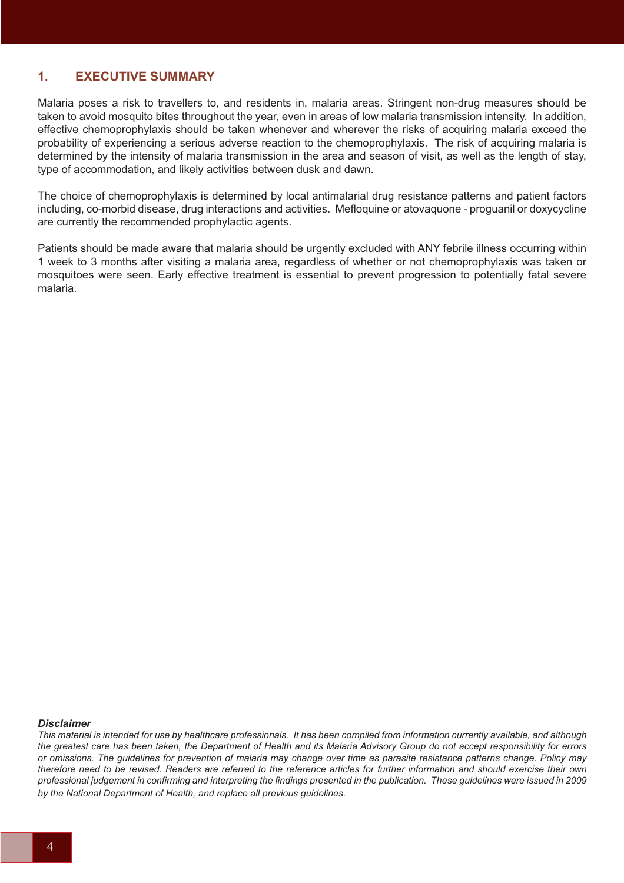# **1. EXECUTIVE SUMMARY**

Malaria poses a risk to travellers to, and residents in, malaria areas. Stringent non-drug measures should be taken to avoid mosquito bites throughout the year, even in areas of low malaria transmission intensity. In addition, effective chemoprophylaxis should be taken whenever and wherever the risks of acquiring malaria exceed the probability of experiencing a serious adverse reaction to the chemoprophylaxis. The risk of acquiring malaria is determined by the intensity of malaria transmission in the area and season of visit, as well as the length of stay, type of accommodation, and likely activities between dusk and dawn.

The choice of chemoprophylaxis is determined by local antimalarial drug resistance patterns and patient factors including, co-morbid disease, drug interactions and activities. Mefloquine or atovaquone - proguanil or doxycycline are currently the recommended prophylactic agents.

Patients should be made aware that malaria should be urgently excluded with ANY febrile illness occurring within 1 week to 3 months after visiting a malaria area, regardless of whether or not chemoprophylaxis was taken or mosquitoes were seen. Early effective treatment is essential to prevent progression to potentially fatal severe malaria.

#### *Disclaimer*

*This material is intended for use by healthcare professionals. It has been compiled from information currently available, and although the greatest care has been taken, the Department of Health and its Malaria Advisory Group do not accept responsibility for errors or omissions. The guidelines for prevention of malaria may change over time as parasite resistance patterns change. Policy may therefore need to be revised. Readers are referred to the reference articles for further information and should exercise their own professional judgement in confirming and interpreting the findings presented in the publication. These guidelines were issued in 2009 by the National Department of Health, and replace all previous guidelines.*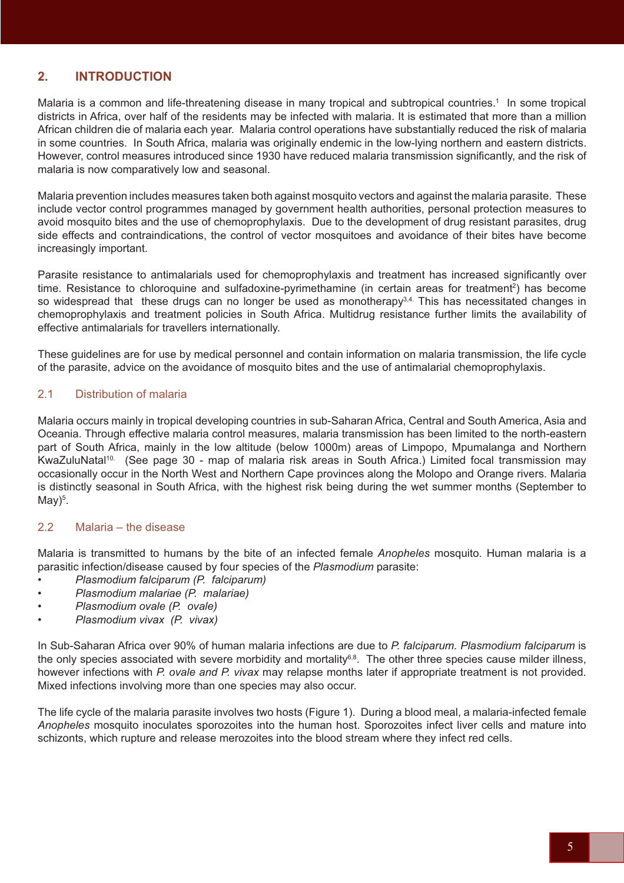# **2. INTRODUCTION**

Malaria is a common and life-threatening disease in many tropical and subtropical countries.<sup>1</sup> In some tropical districts in Africa, over half of the residents may be infected with malaria. It is estimated that more than a million African children die of malaria each year. Malaria control operations have substantially reduced the risk of malaria in some countries. In South Africa, malaria was originally endemic in the low-lying northern and eastern districts. However, control measures introduced since 1930 have reduced malaria transmission significantly, and the risk of malaria is now comparatively low and seasonal.

Malaria prevention includes measures taken both against mosquito vectors and against the malaria parasite. These include vector control programmes managed by government health authorities, personal protection measures to avoid mosquito bites and the use of chemoprophylaxis. Due to the development of drug resistant parasites, drug side effects and contraindications, the control of vector mosquitoes and avoidance of their bites have become increasingly important.

Parasite resistance to antimalarials used for chemoprophylaxis and treatment has increased significantly over time. Resistance to chloroquine and sulfadoxine-pyrimethamine (in certain areas for treatment<sup>2</sup>) has become so widespread that these drugs can no longer be used as monotherapy<sup>3,4.</sup> This has necessitated changes in chemoprophylaxis and treatment policies in South Africa. Multidrug resistance further limits the availability of effective antimalarials for travellers internationally.

These guidelines are for use by medical personnel and contain information on malaria transmission, the life cycle of the parasite, advice on the avoidance of mosquito bites and the use of antimalarial chemoprophylaxis.

## 2.1 Distribution of malaria

Malaria occurs mainly in tropical developing countries in sub-Saharan Africa, Central and South America, Asia and Oceania. Through effective malaria control measures, malaria transmission has been limited to the north-eastern part of South Africa, mainly in the low altitude (below 1000m) areas of Limpopo, Mpumalanga and Northern KwaZuluNatal<sup>10.</sup> (See page 30 - map of malaria risk areas in South Africa.) Limited focal transmission may occasionally occur in the North West and Northern Cape provinces along the Molopo and Orange rivers. Malaria is distinctly seasonal in South Africa, with the highest risk being during the wet summer months (September to  $May)^5$ .

### 2.2 Malaria – the disease

Malaria is transmitted to humans by the bite of an infected female *Anopheles* mosquito. Human malaria is a parasitic infection/disease caused by four species of the *Plasmodium* parasite:

- *Plasmodium falciparum (P. falciparum)*
- *Plasmodium malariae (P. malariae)*
- *Plasmodium ovale (P. ovale)*
- *Plasmodium vivax (P. vivax)*

In Sub-Saharan Africa over 90% of human malaria infections are due to *P. falciparum. Plasmodium falciparum* is the only species associated with severe morbidity and mortality<sup>6,8</sup>. The other three species cause milder illness, however infections with *P. ovale and P. vivax* may relapse months later if appropriate treatment is not provided. Mixed infections involving more than one species may also occur.

The life cycle of the malaria parasite involves two hosts (Figure 1). During a blood meal, a malaria-infected female *Anopheles* mosquito inoculates sporozoites into the human host. Sporozoites infect liver cells and mature into schizonts, which rupture and release merozoites into the blood stream where they infect red cells.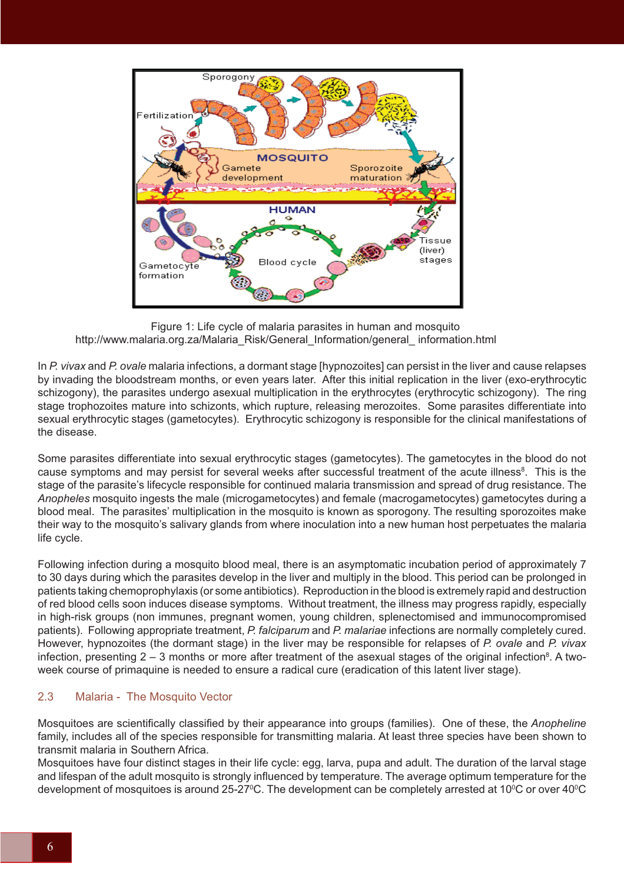

 Figure 1: Life cycle of malaria parasites in human and mosquito http://www.malaria.org.za/Malaria\_Risk/General\_Information/general\_ information.html

In *P. vivax* and *P. ovale* malaria infections, a dormant stage [hypnozoites] can persist in the liver and cause relapses by invading the bloodstream months, or even years later. After this initial replication in the liver (exo-erythrocytic schizogony), the parasites undergo asexual multiplication in the erythrocytes (erythrocytic schizogony). The ring stage trophozoites mature into schizonts, which rupture, releasing merozoites. Some parasites differentiate into sexual erythrocytic stages (gametocytes). Erythrocytic schizogony is responsible for the clinical manifestations of the disease.

Some parasites differentiate into sexual erythrocytic stages (gametocytes). The gametocytes in the blood do not cause symptoms and may persist for several weeks after successful treatment of the acute illness<sup>8</sup>. This is the stage of the parasite's lifecycle responsible for continued malaria transmission and spread of drug resistance. The *Anopheles* mosquito ingests the male (microgametocytes) and female (macrogametocytes) gametocytes during a blood meal. The parasites' multiplication in the mosquito is known as sporogony. The resulting sporozoites make their way to the mosquito's salivary glands from where inoculation into a new human host perpetuates the malaria life cycle.

Following infection during a mosquito blood meal, there is an asymptomatic incubation period of approximately 7 to 30 days during which the parasites develop in the liver and multiply in the blood. This period can be prolonged in patients taking chemoprophylaxis (or some antibiotics). Reproduction in the blood is extremely rapid and destruction of red blood cells soon induces disease symptoms. Without treatment, the illness may progress rapidly, especially in high-risk groups (non immunes, pregnant women, young children, splenectomised and immunocompromised patients). Following appropriate treatment, *P. falciparum* and *P. malariae* infections are normally completely cured. However, hypnozoites (the dormant stage) in the liver may be responsible for relapses of *P. ovale* and *P. vivax* infection, presenting 2 – 3 months or more after treatment of the asexual stages of the original infection<sup>8</sup>. A twoweek course of primaquine is needed to ensure a radical cure (eradication of this latent liver stage).

## 2.3 Malaria - The Mosquito Vector

Mosquitoes are scientifically classified by their appearance into groups (families). One of these, the *Anopheline* family, includes all of the species responsible for transmitting malaria. At least three species have been shown to transmit malaria in Southern Africa.

Mosquitoes have four distinct stages in their life cycle: egg, larva, pupa and adult. The duration of the larval stage and lifespan of the adult mosquito is strongly influenced by temperature. The average optimum temperature for the development of mosquitoes is around 25-27ºC. The development can be completely arrested at 10ºC or over 40ºC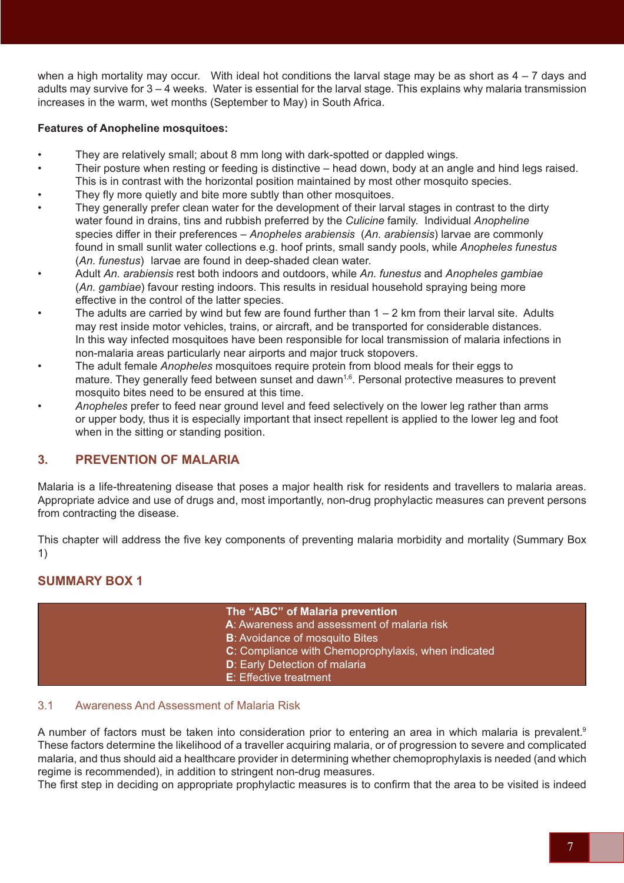when a high mortality may occur. With ideal hot conditions the larval stage may be as short as  $4 - 7$  days and adults may survive for 3 – 4 weeks. Water is essential for the larval stage. This explains why malaria transmission increases in the warm, wet months (September to May) in South Africa.

### **Features of Anopheline mosquitoes:**

- They are relatively small; about 8 mm long with dark-spotted or dappled wings.
- Their posture when resting or feeding is distinctive head down, body at an angle and hind legs raised. This is in contrast with the horizontal position maintained by most other mosquito species.
- They fly more quietly and bite more subtly than other mosquitoes.
- They generally prefer clean water for the development of their larval stages in contrast to the dirty water found in drains, tins and rubbish preferred by the *Culicine* family. Individual *Anopheline* species differ in their preferences – *Anopheles arabiensis* (*An. arabiensis*) larvae are commonly found in small sunlit water collections e.g. hoof prints, small sandy pools, while *Anopheles funestus*  (*An. funestus*) larvae are found in deep-shaded clean water.
- Adult *An. arabiensis* rest both indoors and outdoors, while *An. funestus* and *Anopheles gambiae* (*An. gambiae*) favour resting indoors. This results in residual household spraying being more effective in the control of the latter species.
- The adults are carried by wind but few are found further than  $1 2$  km from their larval site. Adults may rest inside motor vehicles, trains, or aircraft, and be transported for considerable distances. In this way infected mosquitoes have been responsible for local transmission of malaria infections in non-malaria areas particularly near airports and major truck stopovers.
- The adult female *Anopheles* mosquitoes require protein from blood meals for their eggs to mature. They generally feed between sunset and dawn<sup>1,6</sup>. Personal protective measures to prevent mosquito bites need to be ensured at this time.
- *Anopheles* prefer to feed near ground level and feed selectively on the lower leg rather than arms or upper body, thus it is especially important that insect repellent is applied to the lower leg and foot when in the sitting or standing position.

# **3. PREVENTION OF MALARIA**

Malaria is a life-threatening disease that poses a major health risk for residents and travellers to malaria areas. Appropriate advice and use of drugs and, most importantly, non-drug prophylactic measures can prevent persons from contracting the disease.

This chapter will address the five key components of preventing malaria morbidity and mortality (Summary Box 1)

# **SUMMARY BOX 1**

| The "ABC" of Malaria prevention                     |
|-----------------------------------------------------|
|                                                     |
| A: Awareness and assessment of malaria risk         |
| B: Avoidance of mosquito Bites                      |
| C: Compliance with Chemoprophylaxis, when indicated |
| <b>D:</b> Early Detection of malaria                |
| <b>E:</b> Effective treatment                       |

## 3.1 Awareness And Assessment of Malaria Risk

A number of factors must be taken into consideration prior to entering an area in which malaria is prevalent.9 These factors determine the likelihood of a traveller acquiring malaria, or of progression to severe and complicated malaria, and thus should aid a healthcare provider in determining whether chemoprophylaxis is needed (and which regime is recommended), in addition to stringent non-drug measures.

The first step in deciding on appropriate prophylactic measures is to confirm that the area to be visited is indeed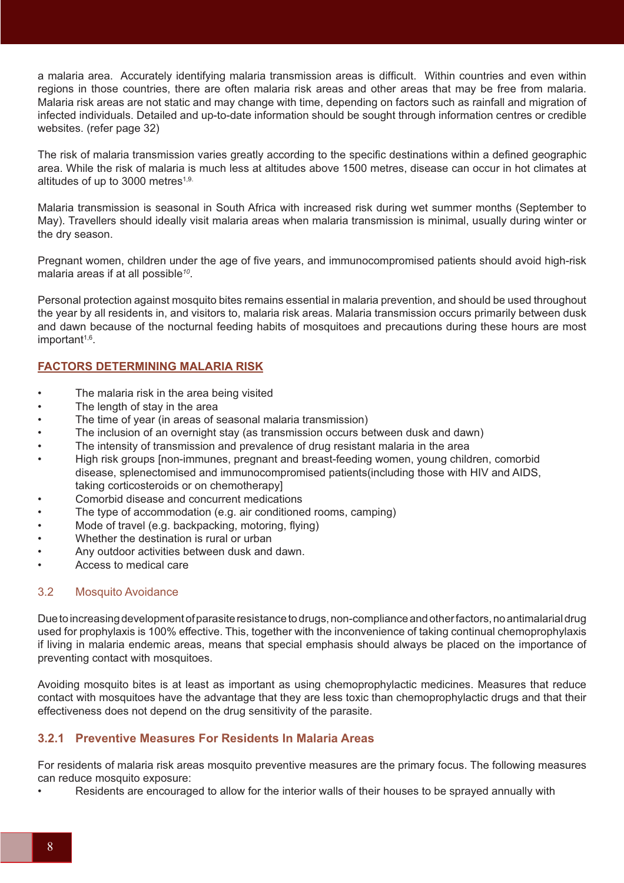a malaria area. Accurately identifying malaria transmission areas is difficult. Within countries and even within regions in those countries, there are often malaria risk areas and other areas that may be free from malaria. Malaria risk areas are not static and may change with time, depending on factors such as rainfall and migration of infected individuals. Detailed and up-to-date information should be sought through information centres or credible websites. (refer page 32)

The risk of malaria transmission varies greatly according to the specific destinations within a defined geographic area. While the risk of malaria is much less at altitudes above 1500 metres, disease can occur in hot climates at altitudes of up to 3000 metres<sup>1,9.</sup>

Malaria transmission is seasonal in South Africa with increased risk during wet summer months (September to May). Travellers should ideally visit malaria areas when malaria transmission is minimal, usually during winter or the dry season.

Pregnant women, children under the age of five years, and immunocompromised patients should avoid high-risk malaria areas if at all possible*<sup>10</sup>*.

Personal protection against mosquito bites remains essential in malaria prevention, and should be used throughout the year by all residents in, and visitors to, malaria risk areas. Malaria transmission occurs primarily between dusk and dawn because of the nocturnal feeding habits of mosquitoes and precautions during these hours are most important<sup>1,6</sup>.

# **FACTORS DETERMINING MALARIA RISK**

- The malaria risk in the area being visited
- The length of stay in the area
- The time of year (in areas of seasonal malaria transmission)
- The inclusion of an overnight stay (as transmission occurs between dusk and dawn)
- The intensity of transmission and prevalence of drug resistant malaria in the area
- High risk groups [non-immunes, pregnant and breast-feeding women, young children, comorbid disease, splenectomised and immunocompromised patients(including those with HIV and AIDS, taking corticosteroids or on chemotherapy]
- Comorbid disease and concurrent medications
- The type of accommodation (e.g. air conditioned rooms, camping)
- Mode of travel (e.g. backpacking, motoring, flying)
- Whether the destination is rural or urban
- Any outdoor activities between dusk and dawn.
- Access to medical care

## 3.2 Mosquito Avoidance

Due to increasing development of parasite resistance to drugs, non-compliance and other factors, no antimalarial drug used for prophylaxis is 100% effective. This, together with the inconvenience of taking continual chemoprophylaxis if living in malaria endemic areas, means that special emphasis should always be placed on the importance of preventing contact with mosquitoes.

Avoiding mosquito bites is at least as important as using chemoprophylactic medicines. Measures that reduce contact with mosquitoes have the advantage that they are less toxic than chemoprophylactic drugs and that their effectiveness does not depend on the drug sensitivity of the parasite.

## **3.2.1 Preventive Measures For Residents In Malaria Areas**

For residents of malaria risk areas mosquito preventive measures are the primary focus. The following measures can reduce mosquito exposure:

• Residents are encouraged to allow for the interior walls of their houses to be sprayed annually with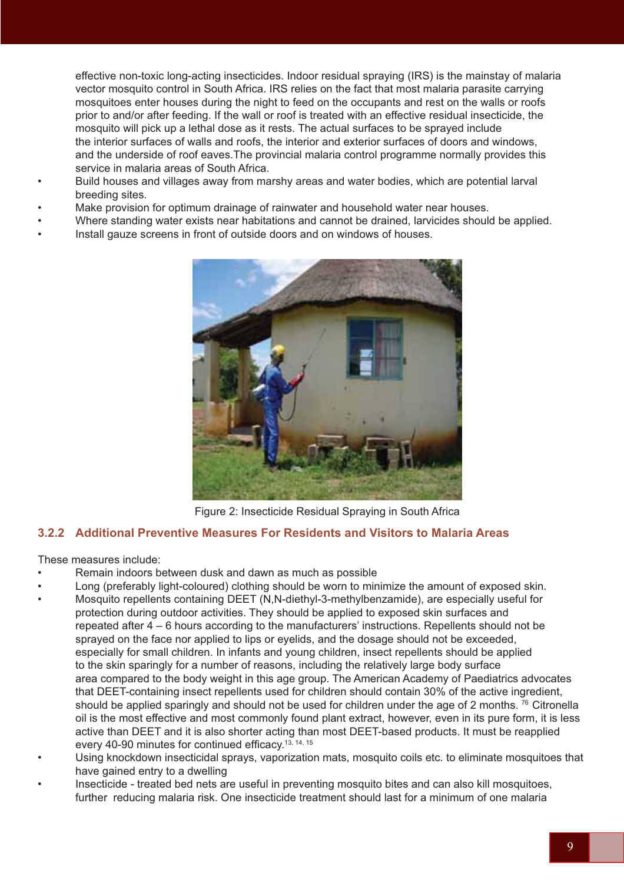effective non-toxic long-acting insecticides. Indoor residual spraying (IRS) is the mainstay of malaria vector mosquito control in South Africa. IRS relies on the fact that most malaria parasite carrying mosquitoes enter houses during the night to feed on the occupants and rest on the walls or roofs prior to and/or after feeding. If the wall or roof is treated with an effective residual insecticide, the mosquito will pick up a lethal dose as it rests. The actual surfaces to be sprayed include the interior surfaces of walls and roofs, the interior and exterior surfaces of doors and windows, and the underside of roof eaves.The provincial malaria control programme normally provides this service in malaria areas of South Africa.

- Build houses and villages away from marshy areas and water bodies, which are potential larval breeding sites.
- Make provision for optimum drainage of rainwater and household water near houses.
- Where standing water exists near habitations and cannot be drained, larvicides should be applied.
- Install gauze screens in front of outside doors and on windows of houses.



Figure 2: Insecticide Residual Spraying in South Africa

## **3.2.2 Additional Preventive Measures For Residents and Visitors to Malaria Areas**

These measures include:

- Remain indoors between dusk and dawn as much as possible
- Long (preferably light-coloured) clothing should be worn to minimize the amount of exposed skin.
- Mosquito repellents containing DEET (N,N-diethyl-3-methylbenzamide), are especially useful for protection during outdoor activities. They should be applied to exposed skin surfaces and repeated after 4 – 6 hours according to the manufacturers' instructions. Repellents should not be sprayed on the face nor applied to lips or eyelids, and the dosage should not be exceeded, especially for small children. In infants and young children, insect repellents should be applied to the skin sparingly for a number of reasons, including the relatively large body surface area compared to the body weight in this age group. The American Academy of Paediatrics advocates that DEET-containing insect repellents used for children should contain 30% of the active ingredient, should be applied sparingly and should not be used for children under the age of 2 months. <sup>76</sup> Citronella oil is the most effective and most commonly found plant extract, however, even in its pure form, it is less active than DEET and it is also shorter acting than most DEET-based products. It must be reapplied every 40-90 minutes for continued efficacy.<sup>13, 14, 15</sup>
- Using knockdown insecticidal sprays, vaporization mats, mosquito coils etc. to eliminate mosquitoes that have gained entry to a dwelling
- Insecticide treated bed nets are useful in preventing mosquito bites and can also kill mosquitoes, further reducing malaria risk. One insecticide treatment should last for a minimum of one malaria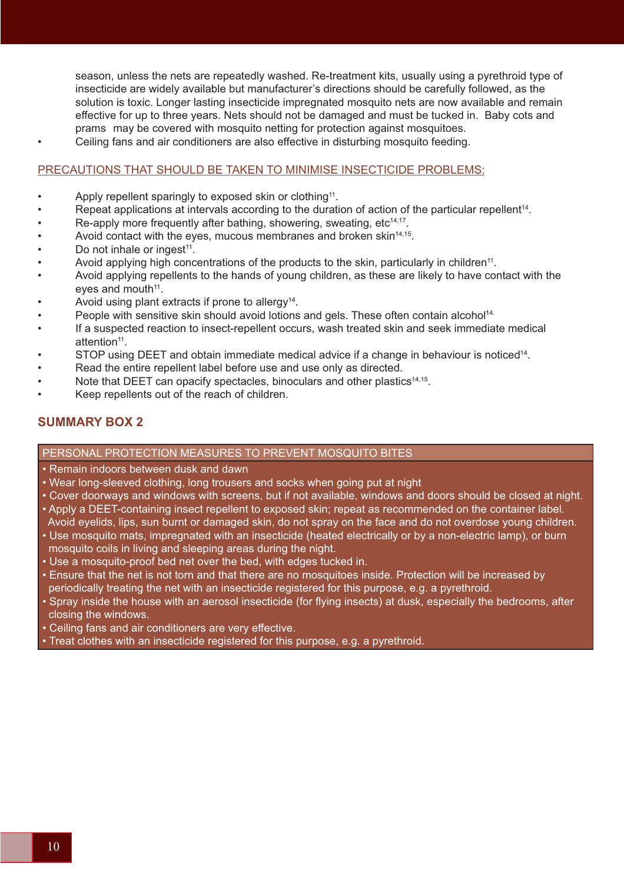season, unless the nets are repeatedly washed. Re-treatment kits, usually using a pyrethroid type of insecticide are widely available but manufacturer's directions should be carefully followed, as the solution is toxic. Longer lasting insecticide impregnated mosquito nets are now available and remain effective for up to three years. Nets should not be damaged and must be tucked in. Baby cots and prams may be covered with mosquito netting for protection against mosquitoes.

• Ceiling fans and air conditioners are also effective in disturbing mosquito feeding.

### PRECAUTIONS THAT SHOULD BE TAKEN TO MINIMISE INSECTICIDE PROBLEMS:

- Apply repellent sparingly to exposed skin or clothing<sup>11</sup>.
- Repeat applications at intervals according to the duration of action of the particular repellent<sup>14</sup>.
- Re-apply more frequently after bathing, showering, sweating,  $etc<sup>14,17</sup>$ .
- Avoid contact with the eyes, mucous membranes and broken skin<sup>14,15</sup>.
- Do not inhale or ingest<sup>11</sup>.
- Avoid applying high concentrations of the products to the skin, particularly in children<sup>11</sup>.
- Avoid applying repellents to the hands of young children, as these are likely to have contact with the eves and mouth $11$ .
- Avoid using plant extracts if prone to allergy<sup>14</sup>.
- People with sensitive skin should avoid lotions and gels. These often contain alcohol<sup>14.</sup>
- If a suspected reaction to insect-repellent occurs, wash treated skin and seek immediate medical attention<sup>11</sup>.
- STOP using DEET and obtain immediate medical advice if a change in behaviour is noticed14.
- Read the entire repellent label before use and use only as directed.
- Note that DEET can opacify spectacles, binoculars and other plastics<sup>14,15</sup>.
- Keep repellents out of the reach of children.

## **SUMMARY BOX 2**

### PERSONAL PROTECTION MEASURES TO PREVENT MOSQUITO BITES

- Remain indoors between dusk and dawn
- Wear long-sleeved clothing, long trousers and socks when going put at night
- Cover doorways and windows with screens, but if not available, windows and doors should be closed at night.
- Apply a DEET-containing insect repellent to exposed skin; repeat as recommended on the container label. Avoid eyelids, lips, sun burnt or damaged skin, do not spray on the face and do not overdose young children.
- Use mosquito mats, impregnated with an insecticide (heated electrically or by a non-electric lamp), or burn mosquito coils in living and sleeping areas during the night.
- Use a mosquito-proof bed net over the bed, with edges tucked in.
- Ensure that the net is not torn and that there are no mosquitoes inside. Protection will be increased by periodically treating the net with an insecticide registered for this purpose, e.g. a pyrethroid.
- Spray inside the house with an aerosol insecticide (for flying insects) at dusk, especially the bedrooms, after closing the windows.
- Ceiling fans and air conditioners are very effective.
- Treat clothes with an insecticide registered for this purpose, e.g. a pyrethroid.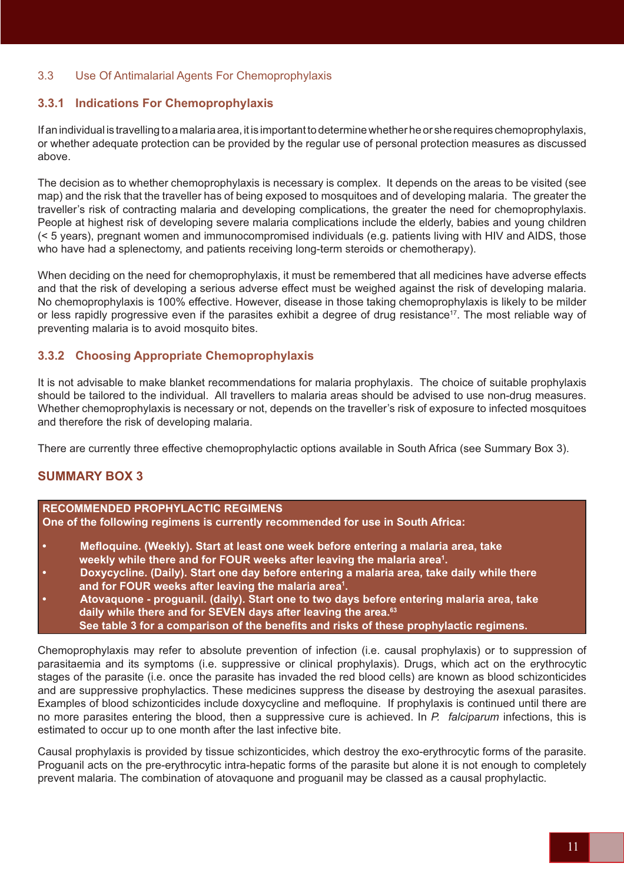## 3.3 Use Of Antimalarial Agents For Chemoprophylaxis

# **3.3.1 Indications For Chemoprophylaxis**

If an individual is travelling to a malaria area, it is important to determine whether he or she requires chemoprophylaxis, or whether adequate protection can be provided by the regular use of personal protection measures as discussed above.

The decision as to whether chemoprophylaxis is necessary is complex. It depends on the areas to be visited (see map) and the risk that the traveller has of being exposed to mosquitoes and of developing malaria. The greater the traveller's risk of contracting malaria and developing complications, the greater the need for chemoprophylaxis. People at highest risk of developing severe malaria complications include the elderly, babies and young children (< 5 years), pregnant women and immunocompromised individuals (e.g. patients living with HIV and AIDS, those who have had a splenectomy, and patients receiving long-term steroids or chemotherapy).

When deciding on the need for chemoprophylaxis, it must be remembered that all medicines have adverse effects and that the risk of developing a serious adverse effect must be weighed against the risk of developing malaria. No chemoprophylaxis is 100% effective. However, disease in those taking chemoprophylaxis is likely to be milder or less rapidly progressive even if the parasites exhibit a degree of drug resistance<sup>17</sup>. The most reliable way of preventing malaria is to avoid mosquito bites.

## **3.3.2 Choosing Appropriate Chemoprophylaxis**

It is not advisable to make blanket recommendations for malaria prophylaxis. The choice of suitable prophylaxis should be tailored to the individual. All travellers to malaria areas should be advised to use non-drug measures. Whether chemoprophylaxis is necessary or not, depends on the traveller's risk of exposure to infected mosquitoes and therefore the risk of developing malaria.

There are currently three effective chemoprophylactic options available in South Africa (see Summary Box 3).

# **SUMMARY BOX 3**

### **RECOMMENDED PROPHYLACTIC REGIMENS**

**One of the following regimens is currently recommended for use in South Africa:**

- **Mefloquine. (Weekly). Start at least one week before entering a malaria area, take weekly while there and for FOUR weeks after leaving the malaria area1 .**
- **Doxycycline. (Daily). Start one day before entering a malaria area, take daily while there and for FOUR weeks after leaving the malaria area1 .**
- **Atovaquone proguanil. (daily). Start one to two days before entering malaria area, take daily while there and for SEVEN days after leaving the area.63 See table 3 for a comparison of the benefits and risks of these prophylactic regimens.**

Chemoprophylaxis may refer to absolute prevention of infection (i.e. causal prophylaxis) or to suppression of parasitaemia and its symptoms (i.e. suppressive or clinical prophylaxis). Drugs, which act on the erythrocytic stages of the parasite (i.e. once the parasite has invaded the red blood cells) are known as blood schizonticides and are suppressive prophylactics. These medicines suppress the disease by destroying the asexual parasites. Examples of blood schizonticides include doxycycline and mefloquine. If prophylaxis is continued until there are no more parasites entering the blood, then a suppressive cure is achieved. In *P. falciparum* infections, this is estimated to occur up to one month after the last infective bite.

Causal prophylaxis is provided by tissue schizonticides, which destroy the exo-erythrocytic forms of the parasite. Proguanil acts on the pre-erythrocytic intra-hepatic forms of the parasite but alone it is not enough to completely prevent malaria. The combination of atovaquone and proguanil may be classed as a causal prophylactic.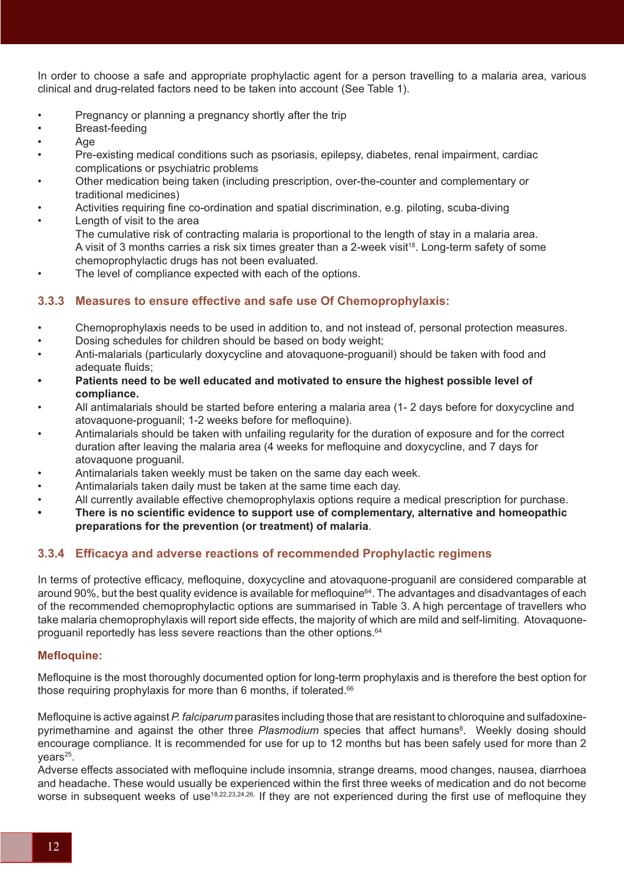In order to choose a safe and appropriate prophylactic agent for a person travelling to a malaria area, various clinical and drug-related factors need to be taken into account (See Table 1).

- Pregnancy or planning a pregnancy shortly after the trip
- Breast-feeding
- Age
- Pre-existing medical conditions such as psoriasis, epilepsy, diabetes, renal impairment, cardiac complications or psychiatric problems
- Other medication being taken (including prescription, over-the-counter and complementary or traditional medicines)
- Activities requiring fine co-ordination and spatial discrimination, e.g. piloting, scuba-diving Length of visit to the area
- The cumulative risk of contracting malaria is proportional to the length of stay in a malaria area. A visit of 3 months carries a risk six times greater than a 2-week visit<sup>18</sup>. Long-term safety of some chemoprophylactic drugs has not been evaluated.
- The level of compliance expected with each of the options.

## **3.3.3 Measures to ensure effective and safe use Of Chemoprophylaxis:**

- Chemoprophylaxis needs to be used in addition to, and not instead of, personal protection measures.
- Dosing schedules for children should be based on body weight;
- Anti-malarials (particularly doxycycline and atovaquone-proguanil) should be taken with food and adequate fluids;
- **Patients need to be well educated and motivated to ensure the highest possible level of compliance.**
- All antimalarials should be started before entering a malaria area (1- 2 days before for doxycycline and atovaquone-proguanil; 1-2 weeks before for mefloquine).
- Antimalarials should be taken with unfailing regularity for the duration of exposure and for the correct duration after leaving the malaria area (4 weeks for mefloquine and doxycycline, and 7 days for atovaquone proguanil.
- Antimalarials taken weekly must be taken on the same day each week.
- Antimalarials taken daily must be taken at the same time each day.
- All currently available effective chemoprophylaxis options require a medical prescription for purchase.
- **There is no scientific evidence to support use of complementary, alternative and homeopathic preparations for the prevention (or treatment) of malaria**.

## **3.3.4 Efficacya and adverse reactions of recommended Prophylactic regimens**

In terms of protective efficacy, mefloquine, doxycycline and atovaquone-proguanil are considered comparable at around 90%, but the best quality evidence is available for mefloquine<sup>64</sup>. The advantages and disadvantages of each of the recommended chemoprophylactic options are summarised in Table 3. A high percentage of travellers who take malaria chemoprophylaxis will report side effects, the majority of which are mild and self-limiting. Atovaquoneproguanil reportedly has less severe reactions than the other options.<sup>64</sup>

## **Mefloquine:**

Mefloquine is the most thoroughly documented option for long-term prophylaxis and is therefore the best option for those requiring prophylaxis for more than 6 months, if tolerated.<sup>66</sup>

Mefloquine is active against *P. falciparum* parasites including those that are resistant to chloroquine and sulfadoxinepyrimethamine and against the other three Plasmodium species that affect humans<sup>8</sup>. Weekly dosing should encourage compliance. It is recommended for use for up to 12 months but has been safely used for more than 2  $vears<sup>25</sup>$ .

Adverse effects associated with mefloquine include insomnia, strange dreams, mood changes, nausea, diarrhoea and headache. These would usually be experienced within the first three weeks of medication and do not become worse in subsequent weeks of use<sup>18,22,23,24,26</sup>. If they are not experienced during the first use of mefloquine they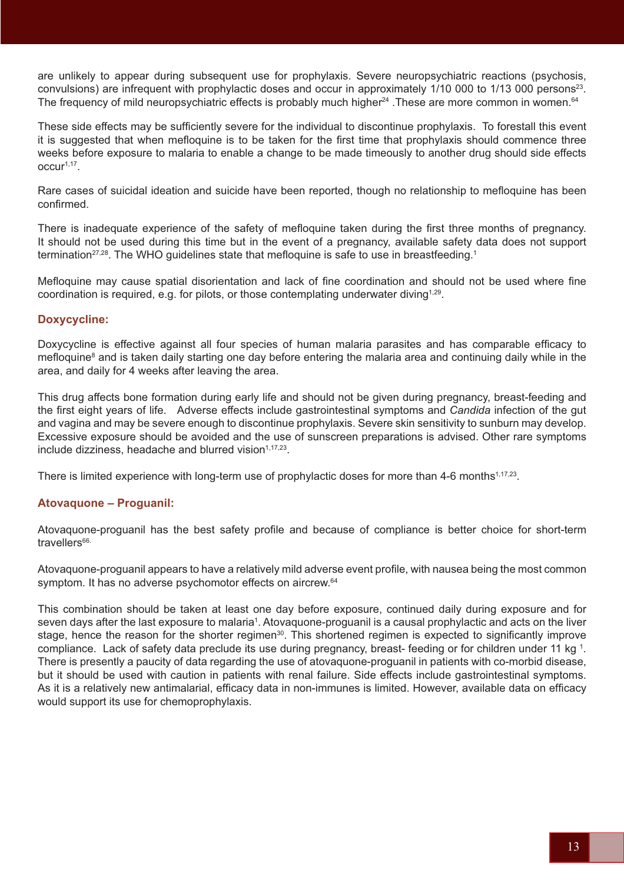are unlikely to appear during subsequent use for prophylaxis. Severe neuropsychiatric reactions (psychosis, convulsions) are infrequent with prophylactic doses and occur in approximately 1/10 000 to 1/13 000 persons23. The frequency of mild neuropsychiatric effects is probably much higher<sup>24</sup>. These are more common in women.<sup>64</sup>

These side effects may be sufficiently severe for the individual to discontinue prophylaxis. To forestall this event it is suggested that when mefloquine is to be taken for the first time that prophylaxis should commence three weeks before exposure to malaria to enable a change to be made timeously to another drug should side effects  $OCLUr<sup>1,17</sup>$ 

Rare cases of suicidal ideation and suicide have been reported, though no relationship to mefloquine has been confirmed.

There is inadequate experience of the safety of mefloquine taken during the first three months of pregnancy. It should not be used during this time but in the event of a pregnancy, available safety data does not support termination<sup>27,28</sup>. The WHO guidelines state that mefloquine is safe to use in breastfeeding.<sup>1</sup>

Mefloquine may cause spatial disorientation and lack of fine coordination and should not be used where fine coordination is required, e.g. for pilots, or those contemplating underwater diving<sup>1,29</sup>.

## **Doxycycline:**

Doxycycline is effective against all four species of human malaria parasites and has comparable efficacy to mefloquine<sup>8</sup> and is taken daily starting one day before entering the malaria area and continuing daily while in the area, and daily for 4 weeks after leaving the area.

This drug affects bone formation during early life and should not be given during pregnancy, breast-feeding and the first eight years of life. Adverse effects include gastrointestinal symptoms and *Candida* infection of the gut and vagina and may be severe enough to discontinue prophylaxis. Severe skin sensitivity to sunburn may develop. Excessive exposure should be avoided and the use of sunscreen preparations is advised. Other rare symptoms include dizziness, headache and blurred vision<sup>1,17,23</sup>.

There is limited experience with long-term use of prophylactic doses for more than 4-6 months<sup>1,17,23</sup>.

## **Atovaquone – Proguanil:**

Atovaquone-proguanil has the best safety profile and because of compliance is better choice for short-term travellers<sup>66.</sup>

Atovaquone-proguanil appears to have a relatively mild adverse event profile, with nausea being the most common symptom. It has no adverse psychomotor effects on aircrew.<sup>64</sup>

This combination should be taken at least one day before exposure, continued daily during exposure and for seven days after the last exposure to malaria<sup>1</sup>. Atovaquone-proguanil is a causal prophylactic and acts on the liver stage, hence the reason for the shorter regimen<sup>30</sup>. This shortened regimen is expected to significantly improve compliance. Lack of safety data preclude its use during pregnancy, breast- feeding or for children under 11 kg 1 . There is presently a paucity of data regarding the use of atovaquone-proguanil in patients with co-morbid disease, but it should be used with caution in patients with renal failure. Side effects include gastrointestinal symptoms. As it is a relatively new antimalarial, efficacy data in non-immunes is limited. However, available data on efficacy would support its use for chemoprophylaxis.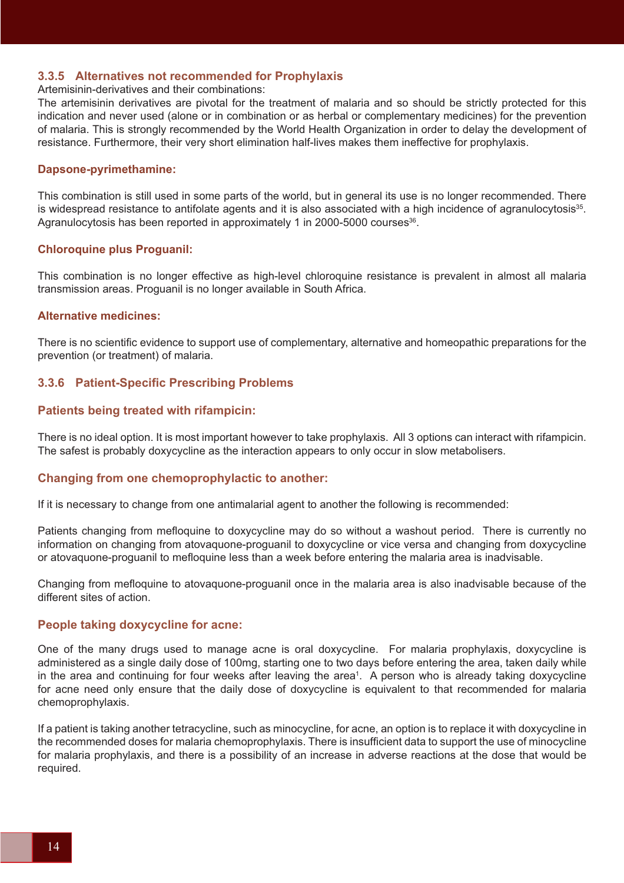### **3.3.5 Alternatives not recommended for Prophylaxis**

#### Artemisinin-derivatives and their combinations:

The artemisinin derivatives are pivotal for the treatment of malaria and so should be strictly protected for this indication and never used (alone or in combination or as herbal or complementary medicines) for the prevention of malaria. This is strongly recommended by the World Health Organization in order to delay the development of resistance. Furthermore, their very short elimination half-lives makes them ineffective for prophylaxis.

#### **Dapsone-pyrimethamine:**

This combination is still used in some parts of the world, but in general its use is no longer recommended. There is widespread resistance to antifolate agents and it is also associated with a high incidence of agranulocytosis $35$ . Agranulocytosis has been reported in approximately 1 in 2000-5000 courses<sup>36</sup>.

#### **Chloroquine plus Proguanil:**

This combination is no longer effective as high-level chloroquine resistance is prevalent in almost all malaria transmission areas. Proguanil is no longer available in South Africa.

#### **Alternative medicines:**

There is no scientific evidence to support use of complementary, alternative and homeopathic preparations for the prevention (or treatment) of malaria.

#### **3.3.6 Patient-Specific Prescribing Problems**

#### **Patients being treated with rifampicin:**

There is no ideal option. It is most important however to take prophylaxis. All 3 options can interact with rifampicin. The safest is probably doxycycline as the interaction appears to only occur in slow metabolisers.

#### **Changing from one chemoprophylactic to another:**

If it is necessary to change from one antimalarial agent to another the following is recommended:

Patients changing from mefloquine to doxycycline may do so without a washout period. There is currently no information on changing from atovaquone-proguanil to doxycycline or vice versa and changing from doxycycline or atovaquone-proguanil to mefloquine less than a week before entering the malaria area is inadvisable.

Changing from mefloquine to atovaquone-proguanil once in the malaria area is also inadvisable because of the different sites of action.

#### **People taking doxycycline for acne:**

One of the many drugs used to manage acne is oral doxycycline. For malaria prophylaxis, doxycycline is administered as a single daily dose of 100mg, starting one to two days before entering the area, taken daily while in the area and continuing for four weeks after leaving the area<sup>1</sup>. A person who is already taking doxycycline for acne need only ensure that the daily dose of doxycycline is equivalent to that recommended for malaria chemoprophylaxis.

If a patient is taking another tetracycline, such as minocycline, for acne, an option is to replace it with doxycycline in the recommended doses for malaria chemoprophylaxis. There is insufficient data to support the use of minocycline for malaria prophylaxis, and there is a possibility of an increase in adverse reactions at the dose that would be required.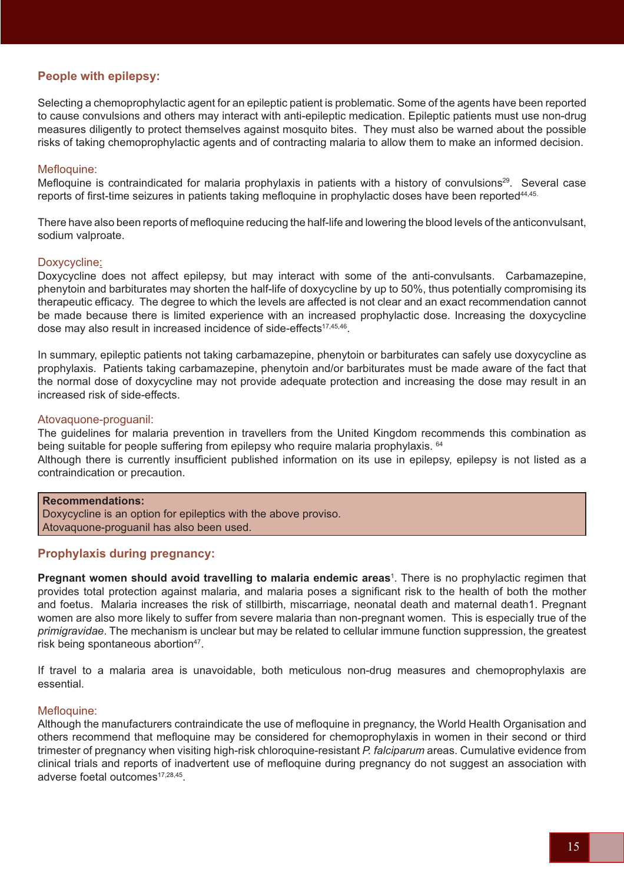## **People with epilepsy:**

Selecting a chemoprophylactic agent for an epileptic patient is problematic. Some of the agents have been reported to cause convulsions and others may interact with anti-epileptic medication. Epileptic patients must use non-drug measures diligently to protect themselves against mosquito bites. They must also be warned about the possible risks of taking chemoprophylactic agents and of contracting malaria to allow them to make an informed decision.

### Mefloquine:

Mefloquine is contraindicated for malaria prophylaxis in patients with a history of convulsions<sup>29</sup>. Several case reports of first-time seizures in patients taking mefloquine in prophylactic doses have been reported<sup>44,45.</sup>

There have also been reports of mefloquine reducing the half-life and lowering the blood levels of the anticonvulsant, sodium valproate.

### Doxycycline:

Doxycycline does not affect epilepsy, but may interact with some of the anti-convulsants. Carbamazepine, phenytoin and barbiturates may shorten the half-life of doxycycline by up to 50%, thus potentially compromising its therapeutic efficacy. The degree to which the levels are affected is not clear and an exact recommendation cannot be made because there is limited experience with an increased prophylactic dose. Increasing the doxycycline dose may also result in increased incidence of side-effects<sup>17,45,46</sup>.

In summary, epileptic patients not taking carbamazepine, phenytoin or barbiturates can safely use doxycycline as prophylaxis. Patients taking carbamazepine, phenytoin and/or barbiturates must be made aware of the fact that the normal dose of doxycycline may not provide adequate protection and increasing the dose may result in an increased risk of side-effects.

#### Atovaquone-proguanil:

The guidelines for malaria prevention in travellers from the United Kingdom recommends this combination as being suitable for people suffering from epilepsy who require malaria prophylaxis. <sup>64</sup>

Although there is currently insufficient published information on its use in epilepsy, epilepsy is not listed as a contraindication or precaution.

### **Recommendations:**

Doxycycline is an option for epileptics with the above proviso. Atovaquone-proguanil has also been used.

### **Prophylaxis during pregnancy:**

**Pregnant women should avoid travelling to malaria endemic areas**<sup>1</sup> . There is no prophylactic regimen that provides total protection against malaria, and malaria poses a significant risk to the health of both the mother and foetus. Malaria increases the risk of stillbirth, miscarriage, neonatal death and maternal death1. Pregnant women are also more likely to suffer from severe malaria than non-pregnant women. This is especially true of the *primigravidae*. The mechanism is unclear but may be related to cellular immune function suppression, the greatest risk being spontaneous abortion<sup>47</sup>.

If travel to a malaria area is unavoidable, both meticulous non-drug measures and chemoprophylaxis are essential.

### Mefloquine:

Although the manufacturers contraindicate the use of mefloquine in pregnancy, the World Health Organisation and others recommend that mefloquine may be considered for chemoprophylaxis in women in their second or third trimester of pregnancy when visiting high-risk chloroquine-resistant *P. falciparum* areas. Cumulative evidence from clinical trials and reports of inadvertent use of mefloquine during pregnancy do not suggest an association with adverse foetal outcomes<sup>17,28,45</sup>.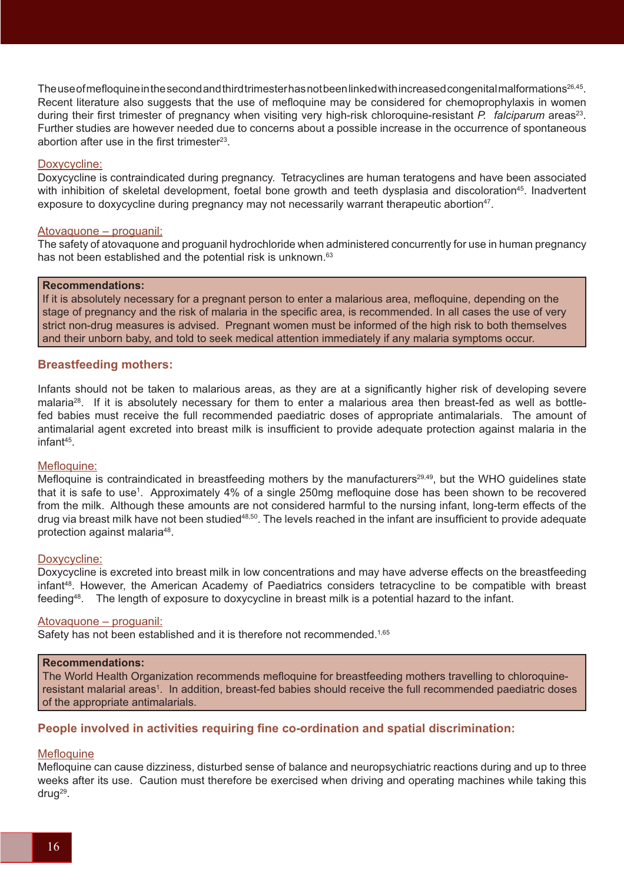The use of mefloquine in the second and third trimester has not been linked with increased congenital malformations<sup>26,45</sup>. Recent literature also suggests that the use of mefloquine may be considered for chemoprophylaxis in women during their first trimester of pregnancy when visiting very high-risk chloroquine-resistant *P. falciparum* areas<sup>23</sup>. Further studies are however needed due to concerns about a possible increase in the occurrence of spontaneous abortion after use in the first trimester $23$ .

#### Doxycycline:

Doxycycline is contraindicated during pregnancy. Tetracyclines are human teratogens and have been associated with inhibition of skeletal development, foetal bone growth and teeth dysplasia and discoloration<sup>45</sup>. Inadvertent exposure to doxycycline during pregnancy may not necessarily warrant therapeutic abortion<sup>47</sup>.

#### Atovaquone – proguanil:

The safety of atovaquone and proguanil hydrochloride when administered concurrently for use in human pregnancy has not been established and the potential risk is unknown.<sup>63</sup>

#### **Recommendations:**

If it is absolutely necessary for a pregnant person to enter a malarious area, mefloquine, depending on the stage of pregnancy and the risk of malaria in the specific area, is recommended. In all cases the use of very strict non-drug measures is advised. Pregnant women must be informed of the high risk to both themselves and their unborn baby, and told to seek medical attention immediately if any malaria symptoms occur.

#### **Breastfeeding mothers:**

Infants should not be taken to malarious areas, as they are at a significantly higher risk of developing severe malaria<sup>28</sup>. If it is absolutely necessary for them to enter a malarious area then breast-fed as well as bottlefed babies must receive the full recommended paediatric doses of appropriate antimalarials. The amount of antimalarial agent excreted into breast milk is insufficient to provide adequate protection against malaria in the infant45.

#### Mefloquine:

Mefloquine is contraindicated in breastfeeding mothers by the manufacturers<sup>29,49</sup>, but the WHO quidelines state that it is safe to use<sup>1</sup>. Approximately 4% of a single 250mg mefloquine dose has been shown to be recovered from the milk. Although these amounts are not considered harmful to the nursing infant, long-term effects of the drug via breast milk have not been studied<sup>48,50</sup>. The levels reached in the infant are insufficient to provide adequate protection against malaria48.

#### Doxycycline:

Doxycycline is excreted into breast milk in low concentrations and may have adverse effects on the breastfeeding infant<sup>48</sup>. However, the American Academy of Paediatrics considers tetracycline to be compatible with breast feeding48. The length of exposure to doxycycline in breast milk is a potential hazard to the infant.

#### Atovaquone – proguanil:

Safety has not been established and it is therefore not recommended.<sup>1,65</sup>

#### **Recommendations:**

The World Health Organization recommends mefloquine for breastfeeding mothers travelling to chloroquineresistant malarial areas<sup>1</sup>. In addition, breast-fed babies should receive the full recommended paediatric doses of the appropriate antimalarials.

### **People involved in activities requiring fine co-ordination and spatial discrimination:**

#### **Mefloquine**

Mefloquine can cause dizziness, disturbed sense of balance and neuropsychiatric reactions during and up to three weeks after its use. Caution must therefore be exercised when driving and operating machines while taking this drug<sup>29</sup>.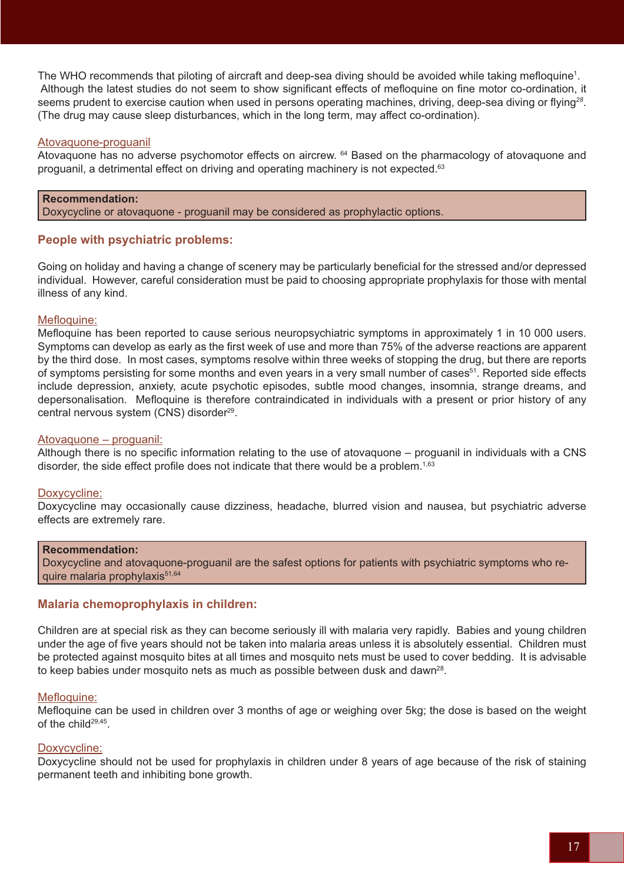The WHO recommends that piloting of aircraft and deep-sea diving should be avoided while taking mefloquine<sup>1</sup>. Although the latest studies do not seem to show significant effects of mefloquine on fine motor co-ordination, it seems prudent to exercise caution when used in persons operating machines, driving, deep-sea diving or flying*<sup>28</sup>*. (The drug may cause sleep disturbances, which in the long term, may affect co-ordination).

### Atovaquone-proguanil

Atovaquone has no adverse psychomotor effects on aircrew. 64 Based on the pharmacology of atovaquone and proguanil, a detrimental effect on driving and operating machinery is not expected.<sup>63</sup>

#### **Recommendation:**

Doxycycline or atovaquone - proguanil may be considered as prophylactic options.

## **People with psychiatric problems:**

Going on holiday and having a change of scenery may be particularly beneficial for the stressed and/or depressed individual. However, careful consideration must be paid to choosing appropriate prophylaxis for those with mental illness of any kind.

### Mefloquine:

Mefloquine has been reported to cause serious neuropsychiatric symptoms in approximately 1 in 10 000 users. Symptoms can develop as early as the first week of use and more than 75% of the adverse reactions are apparent by the third dose. In most cases, symptoms resolve within three weeks of stopping the drug, but there are reports of symptoms persisting for some months and even years in a very small number of cases<sup>51</sup>. Reported side effects include depression, anxiety, acute psychotic episodes, subtle mood changes, insomnia, strange dreams, and depersonalisation. Mefloquine is therefore contraindicated in individuals with a present or prior history of any central nervous system (CNS) disorder<sup>29</sup>.

#### Atovaquone – proguanil:

Although there is no specific information relating to the use of atovaquone – proguanil in individuals with a CNS disorder, the side effect profile does not indicate that there would be a problem.<sup>1,63</sup>

### Doxycycline:

Doxycycline may occasionally cause dizziness, headache, blurred vision and nausea, but psychiatric adverse effects are extremely rare.

#### **Recommendation:**

Doxycycline and atovaquone-proguanil are the safest options for patients with psychiatric symptoms who require malaria prophylaxis<sup>51,64</sup>

### **Malaria chemoprophylaxis in children:**

Children are at special risk as they can become seriously ill with malaria very rapidly. Babies and young children under the age of five years should not be taken into malaria areas unless it is absolutely essential. Children must be protected against mosquito bites at all times and mosquito nets must be used to cover bedding. It is advisable to keep babies under mosquito nets as much as possible between dusk and dawn<sup>28</sup>.

### Mefloquine:

Mefloquine can be used in children over 3 months of age or weighing over 5kg; the dose is based on the weight of the child<sup>29,45</sup>

### Doxycycline:

Doxycycline should not be used for prophylaxis in children under 8 years of age because of the risk of staining permanent teeth and inhibiting bone growth.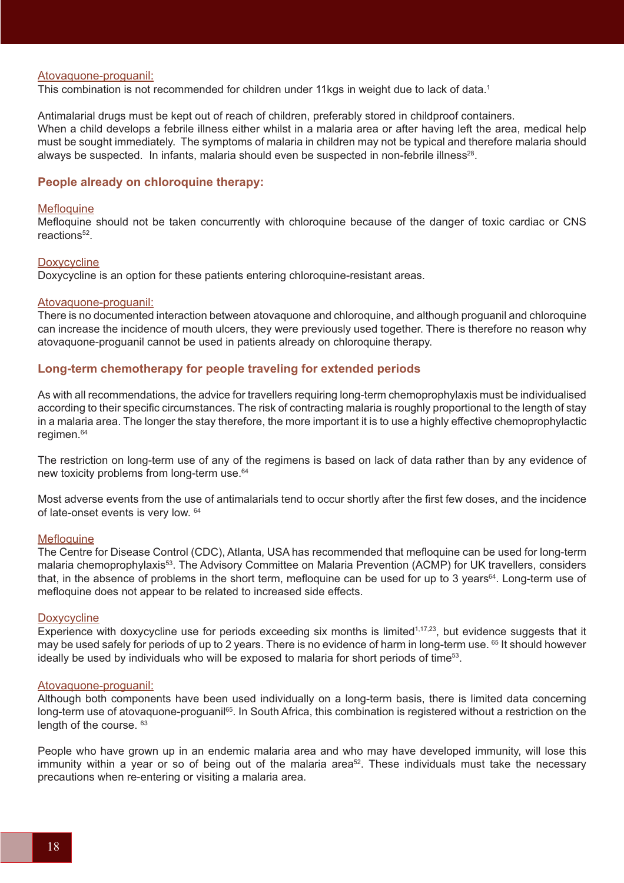#### Atovaquone-proguanil:

This combination is not recommended for children under 11kgs in weight due to lack of data.<sup>1</sup>

Antimalarial drugs must be kept out of reach of children, preferably stored in childproof containers. When a child develops a febrile illness either whilst in a malaria area or after having left the area, medical help must be sought immediately. The symptoms of malaria in children may not be typical and therefore malaria should always be suspected. In infants, malaria should even be suspected in non-febrile illness<sup>28</sup>.

#### **People already on chloroquine therapy:**

#### **Mefloquine**

Mefloquine should not be taken concurrently with chloroquine because of the danger of toxic cardiac or CNS reactions<sup>52</sup>.

#### **Doxycycline**

Doxycycline is an option for these patients entering chloroquine-resistant areas.

#### Atovaquone-proguanil:

There is no documented interaction between atovaquone and chloroquine, and although proguanil and chloroquine can increase the incidence of mouth ulcers, they were previously used together. There is therefore no reason why atovaquone-proguanil cannot be used in patients already on chloroquine therapy.

#### **Long-term chemotherapy for people traveling for extended periods**

As with all recommendations, the advice for travellers requiring long-term chemoprophylaxis must be individualised according to their specific circumstances. The risk of contracting malaria is roughly proportional to the length of stay in a malaria area. The longer the stay therefore, the more important it is to use a highly effective chemoprophylactic regimen.<sup>64</sup>

The restriction on long-term use of any of the regimens is based on lack of data rather than by any evidence of new toxicity problems from long-term use.<sup>64</sup>

Most adverse events from the use of antimalarials tend to occur shortly after the first few doses, and the incidence of late-onset events is very low. <sup>64</sup>

#### **Mefloquine**

The Centre for Disease Control (CDC), Atlanta, USA has recommended that mefloquine can be used for long-term malaria chemoprophylaxis<sup>53</sup>. The Advisory Committee on Malaria Prevention (ACMP) for UK travellers, considers that, in the absence of problems in the short term, mefloquine can be used for up to 3 years<sup>64</sup>. Long-term use of mefloquine does not appear to be related to increased side effects.

#### **Doxycycline**

Experience with doxycycline use for periods exceeding six months is limited<sup>1,17,23</sup>, but evidence suggests that it may be used safely for periods of up to 2 years. There is no evidence of harm in long-term use. <sup>65</sup> It should however ideally be used by individuals who will be exposed to malaria for short periods of time<sup>53</sup>.

#### Atovaquone-proguanil:

Although both components have been used individually on a long-term basis, there is limited data concerning long-term use of atovaquone-proguanil<sup>65</sup>. In South Africa, this combination is registered without a restriction on the length of the course.  $63$ 

People who have grown up in an endemic malaria area and who may have developed immunity, will lose this immunity within a year or so of being out of the malaria area<sup>52</sup>. These individuals must take the necessary precautions when re-entering or visiting a malaria area.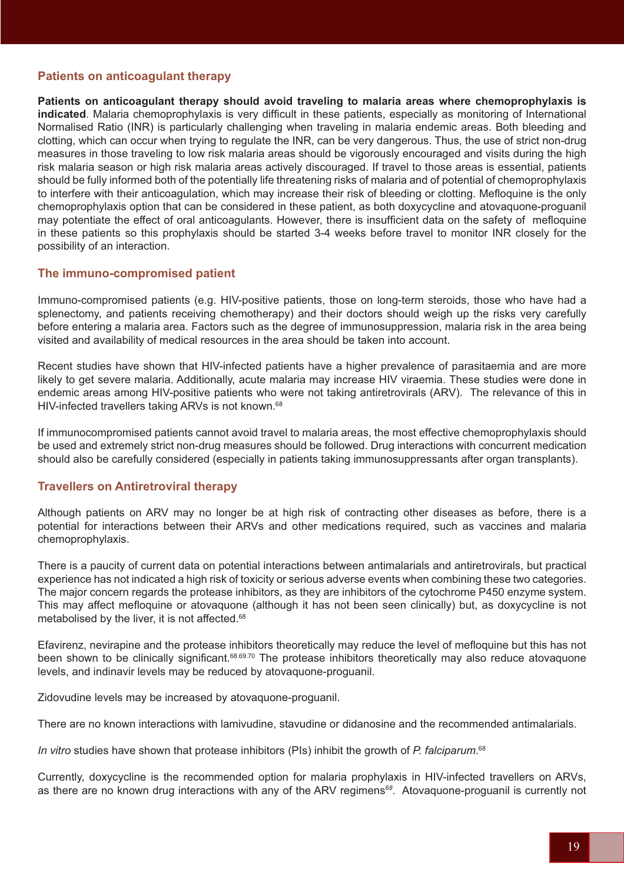## **Patients on anticoagulant therapy**

**Patients on anticoagulant therapy should avoid traveling to malaria areas where chemoprophylaxis is indicated**. Malaria chemoprophylaxis is very difficult in these patients, especially as monitoring of International Normalised Ratio (INR) is particularly challenging when traveling in malaria endemic areas. Both bleeding and clotting, which can occur when trying to regulate the INR, can be very dangerous. Thus, the use of strict non-drug measures in those traveling to low risk malaria areas should be vigorously encouraged and visits during the high risk malaria season or high risk malaria areas actively discouraged. If travel to those areas is essential, patients should be fully informed both of the potentially life threatening risks of malaria and of potential of chemoprophylaxis to interfere with their anticoagulation, which may increase their risk of bleeding or clotting. Mefloquine is the only chemoprophylaxis option that can be considered in these patient, as both doxycycline and atovaquone-proguanil may potentiate the effect of oral anticoagulants. However, there is insufficient data on the safety of mefloquine in these patients so this prophylaxis should be started 3-4 weeks before travel to monitor INR closely for the possibility of an interaction.

### **The immuno-compromised patient**

Immuno-compromised patients (e.g. HIV-positive patients, those on long-term steroids, those who have had a splenectomy, and patients receiving chemotherapy) and their doctors should weigh up the risks very carefully before entering a malaria area. Factors such as the degree of immunosuppression, malaria risk in the area being visited and availability of medical resources in the area should be taken into account.

Recent studies have shown that HIV-infected patients have a higher prevalence of parasitaemia and are more likely to get severe malaria. Additionally, acute malaria may increase HIV viraemia. These studies were done in endemic areas among HIV-positive patients who were not taking antiretrovirals (ARV). The relevance of this in HIV-infected travellers taking ARVs is not known.<sup>68</sup>

If immunocompromised patients cannot avoid travel to malaria areas, the most effective chemoprophylaxis should be used and extremely strict non-drug measures should be followed. Drug interactions with concurrent medication should also be carefully considered (especially in patients taking immunosuppressants after organ transplants).

### **Travellers on Antiretroviral therapy**

Although patients on ARV may no longer be at high risk of contracting other diseases as before, there is a potential for interactions between their ARVs and other medications required, such as vaccines and malaria chemoprophylaxis.

There is a paucity of current data on potential interactions between antimalarials and antiretrovirals, but practical experience has not indicated a high risk of toxicity or serious adverse events when combining these two categories. The major concern regards the protease inhibitors, as they are inhibitors of the cytochrome P450 enzyme system. This may affect mefloquine or atovaquone (although it has not been seen clinically) but, as doxycycline is not metabolised by the liver, it is not affected.<sup>68</sup>

Efavirenz, nevirapine and the protease inhibitors theoretically may reduce the level of mefloquine but this has not been shown to be clinically significant.<sup>68.69.70</sup> The protease inhibitors theoretically may also reduce atovaquone levels, and indinavir levels may be reduced by atovaquone-proguanil.

Zidovudine levels may be increased by atovaquone-proguanil.

There are no known interactions with lamivudine, stavudine or didanosine and the recommended antimalarials.

*In vitro* studies have shown that protease inhibitors (PIs) inhibit the growth of *P. falciparum*. 68

Currently, doxycycline is the recommended option for malaria prophylaxis in HIV-infected travellers on ARVs, as there are no known drug interactions with any of the ARV regimens*<sup>68</sup>*. Atovaquone-proguanil is currently not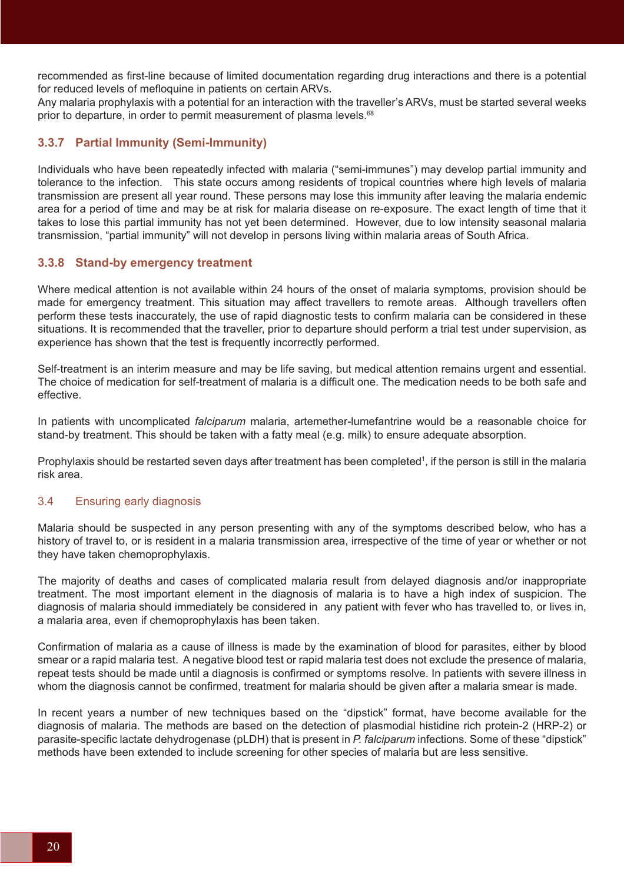recommended as first-line because of limited documentation regarding drug interactions and there is a potential for reduced levels of mefloquine in patients on certain ARVs.

Any malaria prophylaxis with a potential for an interaction with the traveller's ARVs, must be started several weeks prior to departure, in order to permit measurement of plasma levels.<sup>68</sup>

# **3.3.7 Partial Immunity (Semi-Immunity)**

Individuals who have been repeatedly infected with malaria ("semi-immunes") may develop partial immunity and tolerance to the infection. This state occurs among residents of tropical countries where high levels of malaria transmission are present all year round. These persons may lose this immunity after leaving the malaria endemic area for a period of time and may be at risk for malaria disease on re-exposure. The exact length of time that it takes to lose this partial immunity has not yet been determined. However, due to low intensity seasonal malaria transmission, "partial immunity" will not develop in persons living within malaria areas of South Africa.

## **3.3.8 Stand-by emergency treatment**

Where medical attention is not available within 24 hours of the onset of malaria symptoms, provision should be made for emergency treatment. This situation may affect travellers to remote areas. Although travellers often perform these tests inaccurately, the use of rapid diagnostic tests to confirm malaria can be considered in these situations. It is recommended that the traveller, prior to departure should perform a trial test under supervision, as experience has shown that the test is frequently incorrectly performed.

Self-treatment is an interim measure and may be life saving, but medical attention remains urgent and essential. The choice of medication for self-treatment of malaria is a difficult one. The medication needs to be both safe and effective.

In patients with uncomplicated *falciparum* malaria, artemether-lumefantrine would be a reasonable choice for stand-by treatment. This should be taken with a fatty meal (e.g. milk) to ensure adequate absorption.

Prophylaxis should be restarted seven days after treatment has been completed<sup>1</sup>, if the person is still in the malaria risk area.

## 3.4 Ensuring early diagnosis

Malaria should be suspected in any person presenting with any of the symptoms described below, who has a history of travel to, or is resident in a malaria transmission area, irrespective of the time of year or whether or not they have taken chemoprophylaxis.

The majority of deaths and cases of complicated malaria result from delayed diagnosis and/or inappropriate treatment. The most important element in the diagnosis of malaria is to have a high index of suspicion. The diagnosis of malaria should immediately be considered in any patient with fever who has travelled to, or lives in, a malaria area, even if chemoprophylaxis has been taken.

Confirmation of malaria as a cause of illness is made by the examination of blood for parasites, either by blood smear or a rapid malaria test. A negative blood test or rapid malaria test does not exclude the presence of malaria, repeat tests should be made until a diagnosis is confirmed or symptoms resolve. In patients with severe illness in whom the diagnosis cannot be confirmed, treatment for malaria should be given after a malaria smear is made.

In recent years a number of new techniques based on the "dipstick" format, have become available for the diagnosis of malaria. The methods are based on the detection of plasmodial histidine rich protein-2 (HRP-2) or parasite-specific lactate dehydrogenase (pLDH) that is present in *P. falciparum* infections. Some of these "dipstick" methods have been extended to include screening for other species of malaria but are less sensitive.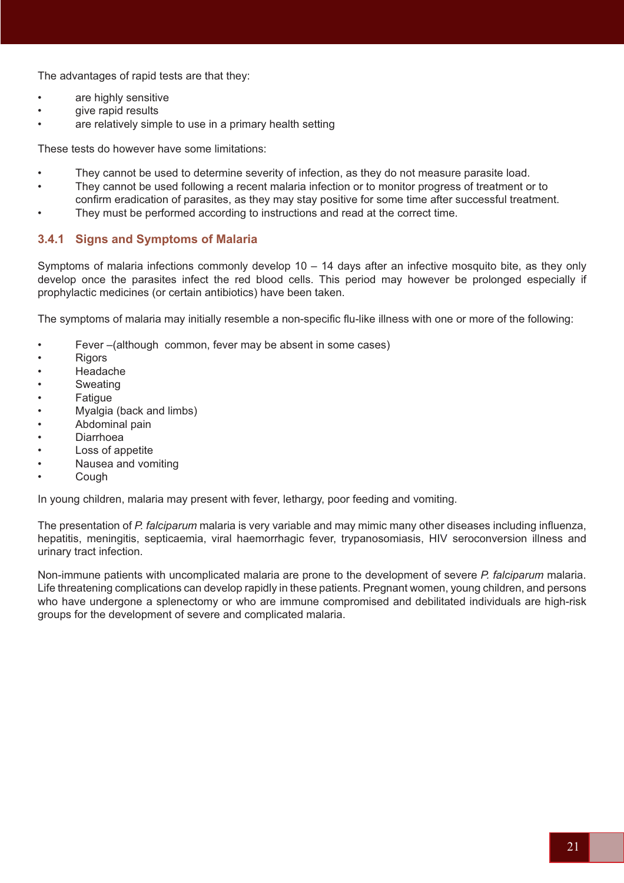The advantages of rapid tests are that they:

- are highly sensitive
- give rapid results
- are relatively simple to use in a primary health setting

These tests do however have some limitations:

- They cannot be used to determine severity of infection, as they do not measure parasite load.
- They cannot be used following a recent malaria infection or to monitor progress of treatment or to confirm eradication of parasites, as they may stay positive for some time after successful treatment.
- They must be performed according to instructions and read at the correct time.

## **3.4.1 Signs and Symptoms of Malaria**

Symptoms of malaria infections commonly develop 10 – 14 days after an infective mosquito bite, as they only develop once the parasites infect the red blood cells. This period may however be prolonged especially if prophylactic medicines (or certain antibiotics) have been taken.

The symptoms of malaria may initially resemble a non-specific flu-like illness with one or more of the following:

- Fever-(although common, fever may be absent in some cases)
- **Rigors**
- Headache
- **Sweating**
- **Fatigue**
- Myalgia (back and limbs)
- Abdominal pain
- **Diarrhoea**
- Loss of appetite
- Nausea and vomiting
- **Cough**

In young children, malaria may present with fever, lethargy, poor feeding and vomiting.

The presentation of *P. falciparum* malaria is very variable and may mimic many other diseases including influenza, hepatitis, meningitis, septicaemia, viral haemorrhagic fever, trypanosomiasis, HIV seroconversion illness and urinary tract infection.

Non-immune patients with uncomplicated malaria are prone to the development of severe *P. falciparum* malaria. Life threatening complications can develop rapidly in these patients. Pregnant women, young children, and persons who have undergone a splenectomy or who are immune compromised and debilitated individuals are high-risk groups for the development of severe and complicated malaria.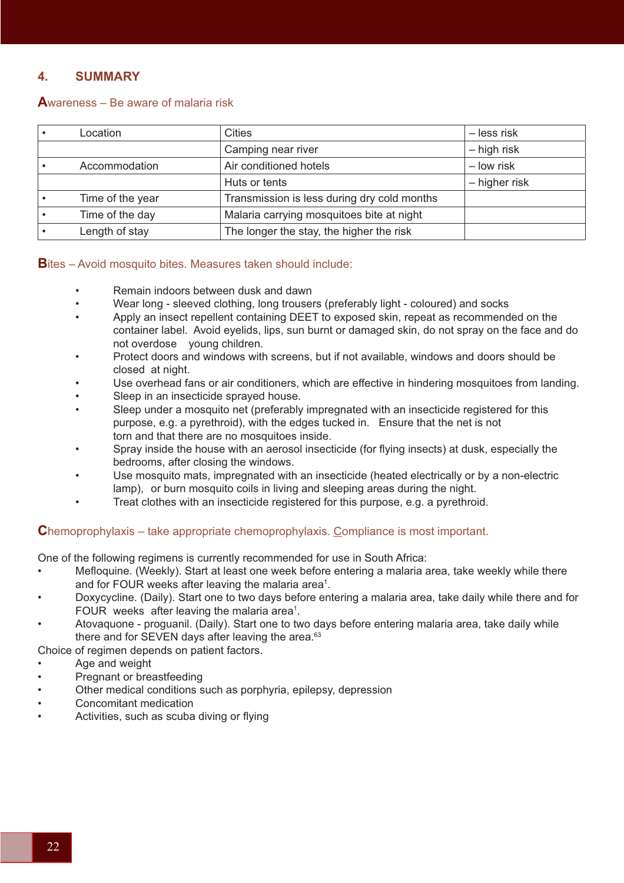# **4. SUMMARY**

### **A**wareness – Be aware of malaria risk

| Location         | <b>Cities</b>                               | – less risk   |
|------------------|---------------------------------------------|---------------|
|                  | Camping near river                          | - high risk   |
| Accommodation    | Air conditioned hotels                      | - low risk    |
|                  | Huts or tents                               | - higher risk |
| Time of the year | Transmission is less during dry cold months |               |
| Time of the day  | Malaria carrying mosquitoes bite at night   |               |
| Length of stay   | The longer the stay, the higher the risk    |               |

### **B**ites – Avoid mosquito bites. Measures taken should include:

- Remain indoors between dusk and dawn
- Wear long sleeved clothing, long trousers (preferably light coloured) and socks
- Apply an insect repellent containing DEET to exposed skin, repeat as recommended on the container label. Avoid eyelids, lips, sun burnt or damaged skin, do not spray on the face and do not overdose young children.
- Protect doors and windows with screens, but if not available, windows and doors should be closed at night.
- Use overhead fans or air conditioners, which are effective in hindering mosquitoes from landing.
- Sleep in an insecticide sprayed house.
- Sleep under a mosquito net (preferably impregnated with an insecticide registered for this purpose, e.g. a pyrethroid), with the edges tucked in. Ensure that the net is not torn and that there are no mosquitoes inside.
- Spray inside the house with an aerosol insecticide (for flying insects) at dusk, especially the bedrooms, after closing the windows.
- Use mosquito mats, impregnated with an insecticide (heated electrically or by a non-electric lamp), or burn mosquito coils in living and sleeping areas during the night.
- Treat clothes with an insecticide registered for this purpose, e.g. a pyrethroid.

## **C**hemoprophylaxis – take appropriate chemoprophylaxis. Compliance is most important.

One of the following regimens is currently recommended for use in South Africa:

- Mefloquine. (Weekly). Start at least one week before entering a malaria area, take weekly while there and for FOUR weeks after leaving the malaria area<sup>1</sup>.
- Doxycycline. (Daily). Start one to two days before entering a malaria area, take daily while there and for FOUR weeks after leaving the malaria area<sup>1</sup>.
- Atovaquone proguanil. (Daily). Start one to two days before entering malaria area, take daily while there and for SEVEN days after leaving the area.<sup>63</sup>

Choice of regimen depends on patient factors.

- Age and weight
- Pregnant or breastfeeding
- Other medical conditions such as porphyria, epilepsy, depression
- Concomitant medication
- Activities, such as scuba diving or flying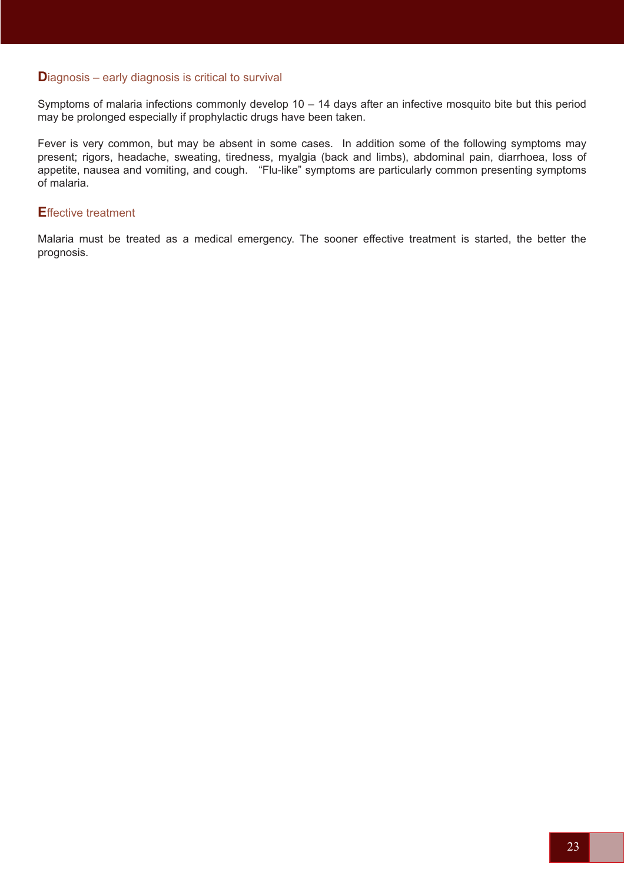### **Diagnosis – early diagnosis is critical to survival**

Symptoms of malaria infections commonly develop 10 – 14 days after an infective mosquito bite but this period may be prolonged especially if prophylactic drugs have been taken.

Fever is very common, but may be absent in some cases. In addition some of the following symptoms may present; rigors, headache, sweating, tiredness, myalgia (back and limbs), abdominal pain, diarrhoea, loss of appetite, nausea and vomiting, and cough. "Flu-like" symptoms are particularly common presenting symptoms of malaria.

### **E**ffective treatment

Malaria must be treated as a medical emergency. The sooner effective treatment is started, the better the prognosis.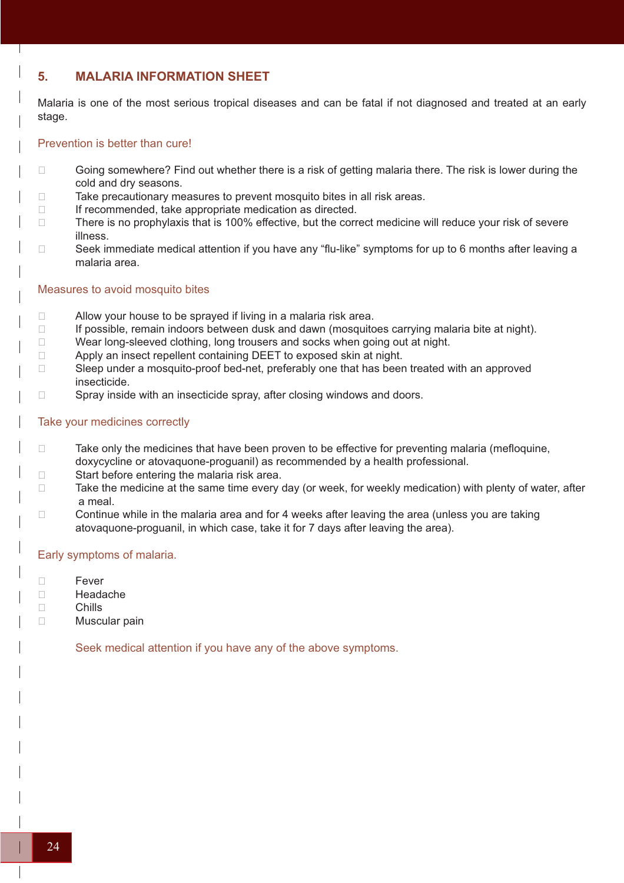# **5. MALARIA INFORMATION SHEET**

Malaria is one of the most serious tropical diseases and can be fatal if not diagnosed and treated at an early stage.

### Prevention is better than cure!

- $\Box$  Going somewhere? Find out whether there is a risk of getting malaria there. The risk is lower during the cold and dry seasons.
- $\Box$  Take precautionary measures to prevent mosquito bites in all risk areas.
- If recommended, take appropriate medication as directed.
- □ There is no prophylaxis that is 100% effective, but the correct medicine will reduce your risk of severe illness.
- $\Box$  Seek immediate medical attention if you have any "flu-like" symptoms for up to 6 months after leaving a malaria area.

#### Measures to avoid mosquito bites

- $\Box$  Allow your house to be sprayed if living in a malaria risk area.
- $\Box$  If possible, remain indoors between dusk and dawn (mosquitoes carrying malaria bite at night).
- D Wear long-sleeved clothing, long trousers and socks when going out at night.
- $\Box$  Apply an insect repellent containing DEET to exposed skin at night.
- □ Sleep under a mosquito-proof bed-net, preferably one that has been treated with an approved insecticide.
- □ Spray inside with an insecticide spray, after closing windows and doors.

### Take your medicines correctly

- $\Box$  Take only the medicines that have been proven to be effective for preventing malaria (mefloquine, doxycycline or atovaquone-proguanil) as recommended by a health professional.
- $\Box$  Start before entering the malaria risk area.
- $\Box$  Take the medicine at the same time every day (or week, for weekly medication) with plenty of water, after a meal.
- $\Box$  Continue while in the malaria area and for 4 weeks after leaving the area (unless you are taking atovaquone-proguanil, in which case, take it for 7 days after leaving the area).

### Early symptoms of malaria.

- □ Fever
- □ Headache
- Chills
- □ Muscular pain

Seek medical attention if you have any of the above symptoms.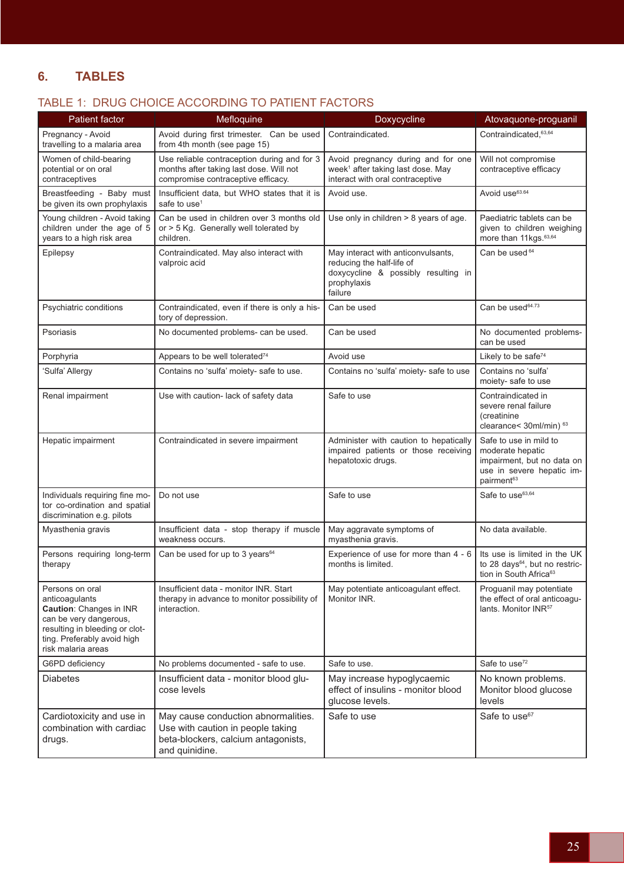# **6. TABLES**

# TABLE 1: DRUG CHOICE ACCORDING TO PATIENT FACTORS

| <b>Patient factor</b>                                                                                                                                                                | Mefloquine                                                                                                                        | Doxycycline                                                                                                                      | Atovaquone-proguanil                                                                                                            |
|--------------------------------------------------------------------------------------------------------------------------------------------------------------------------------------|-----------------------------------------------------------------------------------------------------------------------------------|----------------------------------------------------------------------------------------------------------------------------------|---------------------------------------------------------------------------------------------------------------------------------|
| Pregnancy - Avoid<br>travelling to a malaria area                                                                                                                                    | Avoid during first trimester. Can be used<br>from 4th month (see page 15)                                                         | Contraindicated.                                                                                                                 | Contraindicated, 63,64                                                                                                          |
| Women of child-bearing<br>potential or on oral<br>contraceptives                                                                                                                     | Use reliable contraception during and for 3<br>months after taking last dose. Will not<br>compromise contraceptive efficacy.      | Avoid pregnancy during and for one<br>week <sup>1</sup> after taking last dose. May<br>interact with oral contraceptive          | Will not compromise<br>contraceptive efficacy                                                                                   |
| Breastfeeding - Baby must<br>be given its own prophylaxis                                                                                                                            | Insufficient data, but WHO states that it is<br>safe to use <sup>1</sup>                                                          | Avoid use.                                                                                                                       | Avoid use <sup>63.64</sup>                                                                                                      |
| Young children - Avoid taking<br>children under the age of 5<br>years to a high risk area                                                                                            | Can be used in children over 3 months old<br>or > 5 Kg. Generally well tolerated by<br>children.                                  | Use only in children > 8 years of age.                                                                                           | Paediatric tablets can be<br>given to children weighing<br>more than 11kgs. 63,64                                               |
| Epilepsy                                                                                                                                                                             | Contraindicated. May also interact with<br>valproic acid                                                                          | May interact with anticonvulsants,<br>reducing the half-life of<br>doxycycline & possibly resulting in<br>prophylaxis<br>failure | Can be used 64                                                                                                                  |
| Psychiatric conditions                                                                                                                                                               | Contraindicated, even if there is only a his-<br>tory of depression.                                                              | Can be used                                                                                                                      | Can be used <sup>64.73</sup>                                                                                                    |
| Psoriasis                                                                                                                                                                            | No documented problems- can be used.                                                                                              | Can be used                                                                                                                      | No documented problems-<br>can be used                                                                                          |
| Porphyria                                                                                                                                                                            | Appears to be well tolerated <sup>74</sup>                                                                                        | Avoid use                                                                                                                        | Likely to be safe <sup>74</sup>                                                                                                 |
| 'Sulfa' Allergy                                                                                                                                                                      | Contains no 'sulfa' moiety- safe to use.                                                                                          | Contains no 'sulfa' moiety- safe to use                                                                                          | Contains no 'sulfa'<br>moiety- safe to use                                                                                      |
| Renal impairment                                                                                                                                                                     | Use with caution- lack of safety data                                                                                             | Safe to use                                                                                                                      | Contraindicated in<br>severe renal failure<br>(creatinine<br>clearance< 30ml/min) 63                                            |
| Hepatic impairment                                                                                                                                                                   | Contraindicated in severe impairment                                                                                              | Administer with caution to hepatically<br>impaired patients or those receiving<br>hepatotoxic drugs.                             | Safe to use in mild to<br>moderate hepatic<br>impairment, but no data on<br>use in severe hepatic im-<br>pairment <sup>63</sup> |
| Individuals requiring fine mo-<br>tor co-ordination and spatial<br>discrimination e.g. pilots                                                                                        | Do not use                                                                                                                        | Safe to use                                                                                                                      | Safe to use <sup>63,64</sup>                                                                                                    |
| Myasthenia gravis                                                                                                                                                                    | Insufficient data - stop therapy if muscle<br>weakness occurs.                                                                    | May aggravate symptoms of<br>myasthenia gravis.                                                                                  | No data available.                                                                                                              |
| Persons requiring long-term<br>therapy                                                                                                                                               | Can be used for up to 3 years <sup>64</sup>                                                                                       | Experience of use for more than 4 - 6<br>months is limited.                                                                      | Its use is limited in the UK<br>to 28 days <sup>64</sup> , but no restric-<br>tion in South Africa <sup>63</sup>                |
| Persons on oral<br>anticoagulants<br><b>Caution: Changes in INR</b><br>can be very dangerous,<br>resulting in bleeding or clot-<br>ting. Preferably avoid high<br>risk malaria areas | Insufficient data - monitor INR. Start<br>therapy in advance to monitor possibility of<br>interaction.                            | May potentiate anticoagulant effect.<br>Monitor INR.                                                                             | Proguanil may potentiate<br>the effect of oral anticoagu-<br>lants. Monitor INR <sup>57</sup>                                   |
| G6PD deficiency                                                                                                                                                                      | No problems documented - safe to use.                                                                                             | Safe to use.                                                                                                                     | Safe to use <sup>72</sup>                                                                                                       |
| <b>Diabetes</b>                                                                                                                                                                      | Insufficient data - monitor blood glu-<br>cose levels                                                                             | May increase hypoglycaemic<br>effect of insulins - monitor blood<br>glucose levels.                                              | No known problems.<br>Monitor blood glucose<br>levels                                                                           |
| Cardiotoxicity and use in<br>combination with cardiac<br>drugs.                                                                                                                      | May cause conduction abnormalities.<br>Use with caution in people taking<br>beta-blockers, calcium antagonists,<br>and quinidine. | Safe to use                                                                                                                      | Safe to use <sup>67</sup>                                                                                                       |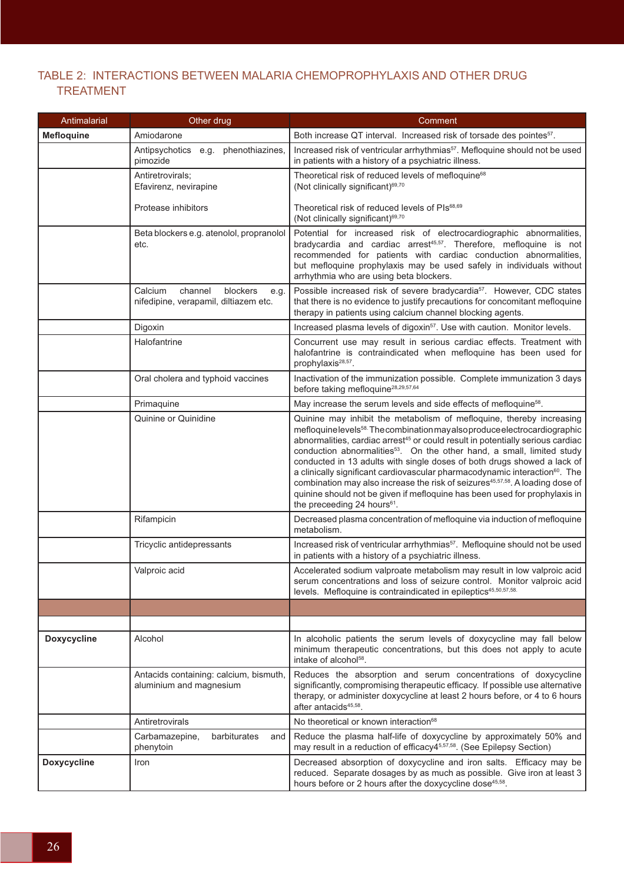# TABLE 2: INTERACTIONS BETWEEN MALARIA CHEMOPROPHYLAXIS AND OTHER DRUG TREATMENT

| Antimalarial       | Other drug                                                                      | Comment                                                                                                                                                                                                                                                                                                                                                                                                                                                                                                                                                                                                                                                                                                                                        |
|--------------------|---------------------------------------------------------------------------------|------------------------------------------------------------------------------------------------------------------------------------------------------------------------------------------------------------------------------------------------------------------------------------------------------------------------------------------------------------------------------------------------------------------------------------------------------------------------------------------------------------------------------------------------------------------------------------------------------------------------------------------------------------------------------------------------------------------------------------------------|
| <b>Mefloquine</b>  | Amiodarone                                                                      | Both increase QT interval. Increased risk of torsade des pointes <sup>57</sup> .                                                                                                                                                                                                                                                                                                                                                                                                                                                                                                                                                                                                                                                               |
|                    | Antipsychotics e.g. phenothiazines,<br>pimozide                                 | Increased risk of ventricular arrhythmias <sup>57</sup> . Mefloquine should not be used<br>in patients with a history of a psychiatric illness.                                                                                                                                                                                                                                                                                                                                                                                                                                                                                                                                                                                                |
|                    | Antiretrovirals;<br>Efavirenz, nevirapine                                       | Theoretical risk of reduced levels of mefloquine <sup>68</sup><br>(Not clinically significant) <sup>69,70</sup>                                                                                                                                                                                                                                                                                                                                                                                                                                                                                                                                                                                                                                |
|                    | Protease inhibitors                                                             | Theoretical risk of reduced levels of PIs <sup>68,69</sup><br>(Not clinically significant) <sup>69,70</sup>                                                                                                                                                                                                                                                                                                                                                                                                                                                                                                                                                                                                                                    |
|                    | Beta blockers e.g. atenolol, propranolol<br>etc.                                | Potential for increased risk of electrocardiographic abnormalities,<br>bradycardia and cardiac arrest <sup>45,57</sup> . Therefore, mefloquine is not<br>recommended for patients with cardiac conduction abnormalities,<br>but mefloquine prophylaxis may be used safely in individuals without<br>arrhythmia who are using beta blockers.                                                                                                                                                                                                                                                                                                                                                                                                    |
|                    | Calcium<br>channel<br>blockers<br>e.g.<br>nifedipine, verapamil, diltiazem etc. | Possible increased risk of severe bradycardia <sup>57</sup> . However, CDC states<br>that there is no evidence to justify precautions for concomitant mefloquine<br>therapy in patients using calcium channel blocking agents.                                                                                                                                                                                                                                                                                                                                                                                                                                                                                                                 |
|                    | Digoxin                                                                         | Increased plasma levels of digoxin <sup>57</sup> . Use with caution. Monitor levels.                                                                                                                                                                                                                                                                                                                                                                                                                                                                                                                                                                                                                                                           |
|                    | Halofantrine                                                                    | Concurrent use may result in serious cardiac effects. Treatment with<br>halofantrine is contraindicated when mefloquine has been used for<br>prophylaxis <sup>28,57</sup> .                                                                                                                                                                                                                                                                                                                                                                                                                                                                                                                                                                    |
|                    | Oral cholera and typhoid vaccines                                               | Inactivation of the immunization possible. Complete immunization 3 days<br>before taking mefloquine <sup>28,29,57,64</sup>                                                                                                                                                                                                                                                                                                                                                                                                                                                                                                                                                                                                                     |
|                    | Primaquine                                                                      | May increase the serum levels and side effects of mefloquine <sup>58</sup> .                                                                                                                                                                                                                                                                                                                                                                                                                                                                                                                                                                                                                                                                   |
|                    | Quinine or Quinidine                                                            | Quinine may inhibit the metabolism of mefloquine, thereby increasing<br>mefloquinelevels <sup>58.</sup> The combination may also produce electrocardiographic<br>abnormalities, cardiac arrest <sup>45</sup> or could result in potentially serious cardiac<br>conduction abnormalities <sup>53</sup> . On the other hand, a small, limited study<br>conducted in 13 adults with single doses of both drugs showed a lack of<br>a clinically significant cardiovascular pharmacodynamic interaction <sup>60</sup> . The<br>combination may also increase the risk of seizures <sup>45,57,58</sup> . A loading dose of<br>quinine should not be given if mefloquine has been used for prophylaxis in<br>the preceeding 24 hours <sup>61</sup> . |
|                    | Rifampicin                                                                      | Decreased plasma concentration of mefloquine via induction of mefloquine<br>metabolism.                                                                                                                                                                                                                                                                                                                                                                                                                                                                                                                                                                                                                                                        |
|                    | Tricyclic antidepressants                                                       | Increased risk of ventricular arrhythmias <sup>57</sup> . Mefloquine should not be used<br>in patients with a history of a psychiatric illness.                                                                                                                                                                                                                                                                                                                                                                                                                                                                                                                                                                                                |
|                    | Valproic acid                                                                   | Accelerated sodium valproate metabolism may result in low valproic acid<br>serum concentrations and loss of seizure control. Monitor valproic acid<br>levels. Mefloquine is contraindicated in epileptics <sup>45,50,57,58.</sup>                                                                                                                                                                                                                                                                                                                                                                                                                                                                                                              |
|                    |                                                                                 |                                                                                                                                                                                                                                                                                                                                                                                                                                                                                                                                                                                                                                                                                                                                                |
|                    |                                                                                 |                                                                                                                                                                                                                                                                                                                                                                                                                                                                                                                                                                                                                                                                                                                                                |
| <b>Doxycycline</b> | Alcohol                                                                         | In alcoholic patients the serum levels of doxycycline may fall below<br>minimum therapeutic concentrations, but this does not apply to acute<br>intake of alcohol <sup>58</sup> .                                                                                                                                                                                                                                                                                                                                                                                                                                                                                                                                                              |
|                    | Antacids containing: calcium, bismuth,<br>aluminium and magnesium               | Reduces the absorption and serum concentrations of doxycycline<br>significantly, compromising therapeutic efficacy. If possible use alternative<br>therapy, or administer doxycycline at least 2 hours before, or 4 to 6 hours<br>after antacids <sup>45,58</sup> .                                                                                                                                                                                                                                                                                                                                                                                                                                                                            |
|                    | Antiretrovirals                                                                 | No theoretical or known interaction <sup>68</sup>                                                                                                                                                                                                                                                                                                                                                                                                                                                                                                                                                                                                                                                                                              |
|                    | barbiturates<br>Carbamazepine,<br>and<br>phenytoin                              | Reduce the plasma half-life of doxycycline by approximately 50% and<br>may result in a reduction of efficacy45,57,58. (See Epilepsy Section)                                                                                                                                                                                                                                                                                                                                                                                                                                                                                                                                                                                                   |
| <b>Doxycycline</b> | Iron                                                                            | Decreased absorption of doxycycline and iron salts. Efficacy may be<br>reduced. Separate dosages by as much as possible. Give iron at least 3<br>hours before or 2 hours after the doxycycline dose <sup>45,58</sup> .                                                                                                                                                                                                                                                                                                                                                                                                                                                                                                                         |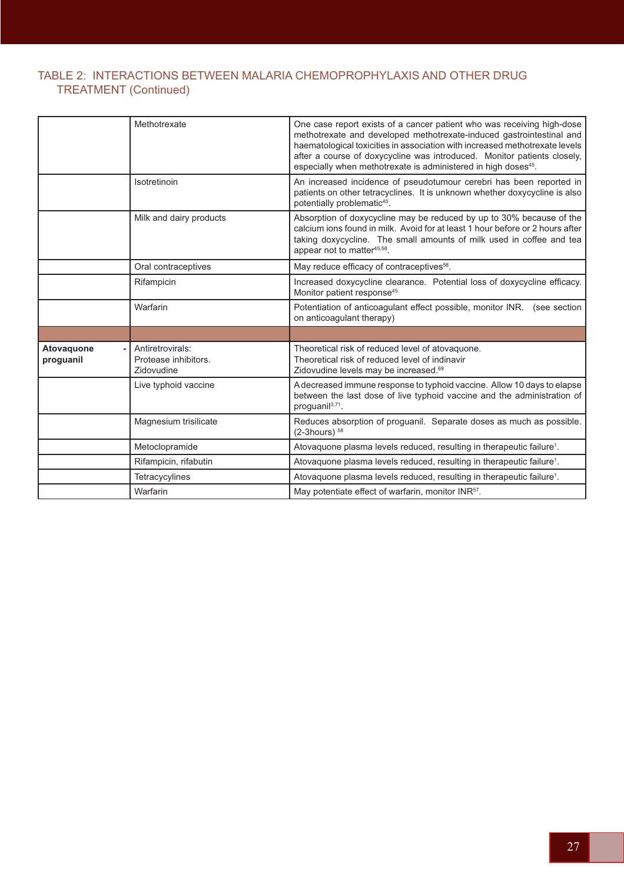# TABLE 2: INTERACTIONS BETWEEN MALARIA CHEMOPROPHYLAXIS AND OTHER DRUG TREATMENT (Continued)

|                         | Methotrexate                                           | One case report exists of a cancer patient who was receiving high-dose<br>methotrexate and developed methotrexate-induced gastrointestinal and<br>haematological toxicities in association with increased methotrexate levels<br>after a course of doxycycline was introduced. Monitor patients closely,<br>especially when methotrexate is administered in high doses <sup>45</sup> . |
|-------------------------|--------------------------------------------------------|----------------------------------------------------------------------------------------------------------------------------------------------------------------------------------------------------------------------------------------------------------------------------------------------------------------------------------------------------------------------------------------|
|                         | Isotretinoin                                           | An increased incidence of pseudotumour cerebri has been reported in<br>patients on other tetracyclines. It is unknown whether doxycycline is also<br>potentially problematic <sup>45</sup> .                                                                                                                                                                                           |
|                         | Milk and dairy products                                | Absorption of doxycycline may be reduced by up to 30% because of the<br>calcium ions found in milk. Avoid for at least 1 hour before or 2 hours after<br>taking doxycycline. The small amounts of milk used in coffee and tea<br>appear not to matter <sup>45,58</sup> .                                                                                                               |
|                         | Oral contraceptives                                    | May reduce efficacy of contraceptives <sup>58</sup> .                                                                                                                                                                                                                                                                                                                                  |
|                         | Rifampicin                                             | Increased doxycycline clearance. Potential loss of doxycycline efficacy.<br>Monitor patient response <sup>45.</sup>                                                                                                                                                                                                                                                                    |
|                         | Warfarin                                               | Potentiation of anticoagulant effect possible, monitor INR. (see section<br>on anticoagulant therapy)                                                                                                                                                                                                                                                                                  |
|                         |                                                        |                                                                                                                                                                                                                                                                                                                                                                                        |
| Atovaquone<br>proguanil | Antiretrovirals:<br>Protease inhibitors.<br>Zidovudine | Theoretical risk of reduced level of atovaquone.<br>Theoretical risk of reduced level of indinavir<br>Zidovudine levels may be increased. <sup>69</sup>                                                                                                                                                                                                                                |
|                         | Live typhoid vaccine                                   | A decreased immune response to typhoid vaccine. Allow 10 days to elapse<br>between the last dose of live typhoid vaccine and the administration of<br>proguanil <sup>3,71</sup> .                                                                                                                                                                                                      |
|                         | Magnesium trisilicate                                  | Reduces absorption of proguanil. Separate doses as much as possible.<br>$(2-3$ hours) $58$                                                                                                                                                                                                                                                                                             |
|                         | Metoclopramide                                         | Atovaquone plasma levels reduced, resulting in therapeutic failure <sup>1</sup> .                                                                                                                                                                                                                                                                                                      |
|                         | Rifampicin, rifabutin                                  | Atovaquone plasma levels reduced, resulting in therapeutic failure <sup>1</sup> .                                                                                                                                                                                                                                                                                                      |
|                         | Tetracycylines                                         | Atovaquone plasma levels reduced, resulting in therapeutic failure <sup>1</sup> .                                                                                                                                                                                                                                                                                                      |
|                         | Warfarin                                               | May potentiate effect of warfarin, monitor INR <sup>57</sup> .                                                                                                                                                                                                                                                                                                                         |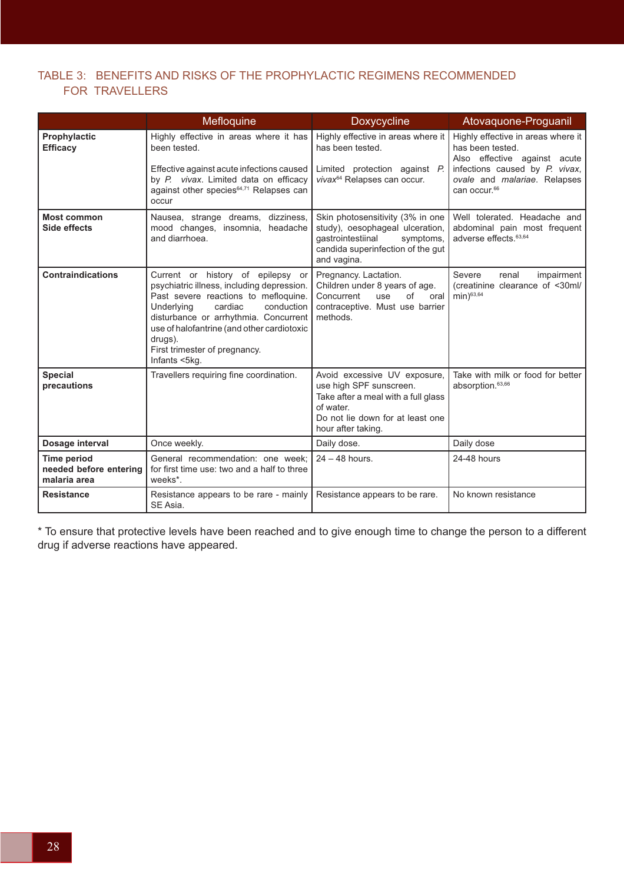# TABLE 3: BENEFITS AND RISKS OF THE PROPHYLACTIC REGIMENS RECOMMENDED FOR TRAVELLERS

|                                                              | Mefloquine                                                                                                                                                                                                                                                                                                         | Doxycycline                                                                                                                                                           | Atovaquone-Proguanil                                                                                                                                                                 |
|--------------------------------------------------------------|--------------------------------------------------------------------------------------------------------------------------------------------------------------------------------------------------------------------------------------------------------------------------------------------------------------------|-----------------------------------------------------------------------------------------------------------------------------------------------------------------------|--------------------------------------------------------------------------------------------------------------------------------------------------------------------------------------|
| Prophylactic<br><b>Efficacy</b>                              | Highly effective in areas where it has<br>been tested.<br>Effective against acute infections caused<br>by P. vivax. Limited data on efficacy<br>against other species <sup>64,71</sup> Relapses can<br>occur                                                                                                       | Highly effective in areas where it<br>has been tested.<br>Limited protection against P.<br>vivax <sup>64</sup> Relapses can occur.                                    | Highly effective in areas where it<br>has been tested.<br>Also effective against acute<br>infections caused by P. vivax,<br>ovale and malariae. Relapses<br>can occur. <sup>66</sup> |
| <b>Most common</b><br>Side effects                           | Nausea, strange dreams, dizziness,<br>mood changes, insomnia, headache<br>and diarrhoea.                                                                                                                                                                                                                           | Skin photosensitivity (3% in one<br>study), oesophageal ulceration,<br>qastrointestiinal<br>symptoms,<br>candida superinfection of the gut<br>and vagina.             | Well tolerated. Headache and<br>abdominal pain most frequent<br>adverse effects. <sup>63,64</sup>                                                                                    |
| <b>Contraindications</b>                                     | Current or history of epilepsy or<br>psychiatric illness, including depression.<br>Past severe reactions to mefloquine.<br>Underlying<br>cardiac<br>conduction<br>disturbance or arrhythmia. Concurrent<br>use of halofantrine (and other cardiotoxic<br>drugs).<br>First trimester of pregnancy.<br>Infants <5kg. | Pregnancy. Lactation.<br>Children under 8 years of age.<br>Concurrent<br>of<br>use<br>oral<br>contraceptive. Must use barrier<br>methods.                             | Severe<br>renal<br>impairment<br>(creatinine clearance of <30ml/<br>min) <sup>63,64</sup>                                                                                            |
| <b>Special</b><br>precautions                                | Travellers requiring fine coordination.                                                                                                                                                                                                                                                                            | Avoid excessive UV exposure,<br>use high SPF sunscreen.<br>Take after a meal with a full glass<br>of water.<br>Do not lie down for at least one<br>hour after taking. | Take with milk or food for better<br>absorption. <sup>63,66</sup>                                                                                                                    |
| Dosage interval                                              | Once weekly.                                                                                                                                                                                                                                                                                                       | Daily dose.                                                                                                                                                           | Daily dose                                                                                                                                                                           |
| <b>Time period</b><br>needed before entering<br>malaria area | General recommendation: one week:<br>for first time use: two and a half to three<br>weeks <sup>*</sup> .                                                                                                                                                                                                           | $24 - 48$ hours.                                                                                                                                                      | 24-48 hours                                                                                                                                                                          |
| <b>Resistance</b>                                            | Resistance appears to be rare - mainly<br>SE Asia.                                                                                                                                                                                                                                                                 | Resistance appears to be rare.                                                                                                                                        | No known resistance                                                                                                                                                                  |

\* To ensure that protective levels have been reached and to give enough time to change the person to a different drug if adverse reactions have appeared.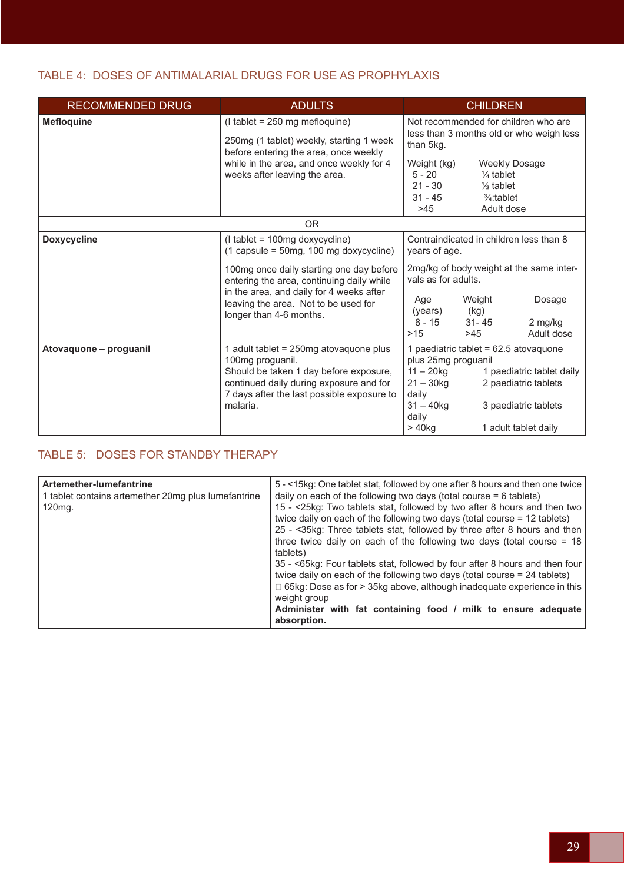# TABLE 4: DOSES OF ANTIMALARIAL DRUGS FOR USE AS PROPHYLAXIS

| <b>RECOMMENDED DRUG</b> | <b>ADULTS</b>                                                                                                                                                                                                                                                                                             | <b>CHILDREN</b>                                                                                                                                                                                                                                                           |  |  |  |
|-------------------------|-----------------------------------------------------------------------------------------------------------------------------------------------------------------------------------------------------------------------------------------------------------------------------------------------------------|---------------------------------------------------------------------------------------------------------------------------------------------------------------------------------------------------------------------------------------------------------------------------|--|--|--|
| <b>Mefloquine</b>       | $($ l tablet = 250 mg mefloquine $)$<br>250mg (1 tablet) weekly, starting 1 week<br>before entering the area, once weekly<br>while in the area, and once weekly for 4<br>weeks after leaving the area.                                                                                                    | Not recommended for children who are<br>less than 3 months old or who weigh less<br>than 5kg.<br>Weight (kg)<br><b>Weekly Dosage</b><br>$5 - 20$<br>$\frac{1}{4}$ tablet<br>$21 - 30$<br>$\frac{1}{2}$ tablet<br>$31 - 45$<br>$\frac{3}{4}$ : tablet<br>>45<br>Adult dose |  |  |  |
|                         | OR.                                                                                                                                                                                                                                                                                                       |                                                                                                                                                                                                                                                                           |  |  |  |
| <b>Doxycycline</b>      | (I tablet = 100mg doxycycline)<br>$(1 \text{ capsule} = 50 \text{mg}, 100 \text{ mg doxycyclic})$<br>100mg once daily starting one day before<br>entering the area, continuing daily while<br>in the area, and daily for 4 weeks after<br>leaving the area. Not to be used for<br>longer than 4-6 months. | Contraindicated in children less than 8<br>years of age.<br>2mg/kg of body weight at the same inter-<br>vals as for adults.<br>Weight<br>Dosage<br>Age<br>(years)<br>(kg)<br>$8 - 15$<br>$31 - 45$<br>2 mg/kg<br>>15<br>>45<br>Adult dose                                 |  |  |  |
| Atovaquone - proguanil  | 1 adult tablet = 250mg atovaquone plus<br>100mg proguanil.<br>Should be taken 1 day before exposure,<br>continued daily during exposure and for<br>7 days after the last possible exposure to<br>malaria.                                                                                                 | 1 paediatric tablet = 62.5 atovaquone<br>plus 25mg proguanil<br>1 paediatric tablet daily<br>$11 - 20$ kg<br>$21 - 30$ kg<br>2 paediatric tablets<br>daily<br>$31 - 40$ kg<br>3 paediatric tablets<br>daily<br>$> 40$ kg<br>1 adult tablet daily                          |  |  |  |

# TABLE 5: DOSES FOR STANDBY THERAPY

| Artemether-lumefantrine<br>1 tablet contains artemether 20mg plus lumefantrine<br>$120mg$ . | 5 - <15kg: One tablet stat, followed by one after 8 hours and then one twice<br>daily on each of the following two days (total course $= 6$ tablets)<br>15 - <25kg: Two tablets stat, followed by two after 8 hours and then two<br>twice daily on each of the following two days (total course = 12 tablets)<br>25 - < 35kg: Three tablets stat, followed by three after 8 hours and then<br>three twice daily on each of the following two days (total course $= 18$<br>tablets)<br>35 - <65kg: Four tablets stat, followed by four after 8 hours and then four<br>twice daily on each of the following two days (total course $= 24$ tablets)<br>$\Box$ 65kg: Dose as for $>$ 35kg above, although inadequate experience in this<br>weight group<br>Administer with fat containing food / milk to ensure adequate<br>absorption. |
|---------------------------------------------------------------------------------------------|-------------------------------------------------------------------------------------------------------------------------------------------------------------------------------------------------------------------------------------------------------------------------------------------------------------------------------------------------------------------------------------------------------------------------------------------------------------------------------------------------------------------------------------------------------------------------------------------------------------------------------------------------------------------------------------------------------------------------------------------------------------------------------------------------------------------------------------|
|---------------------------------------------------------------------------------------------|-------------------------------------------------------------------------------------------------------------------------------------------------------------------------------------------------------------------------------------------------------------------------------------------------------------------------------------------------------------------------------------------------------------------------------------------------------------------------------------------------------------------------------------------------------------------------------------------------------------------------------------------------------------------------------------------------------------------------------------------------------------------------------------------------------------------------------------|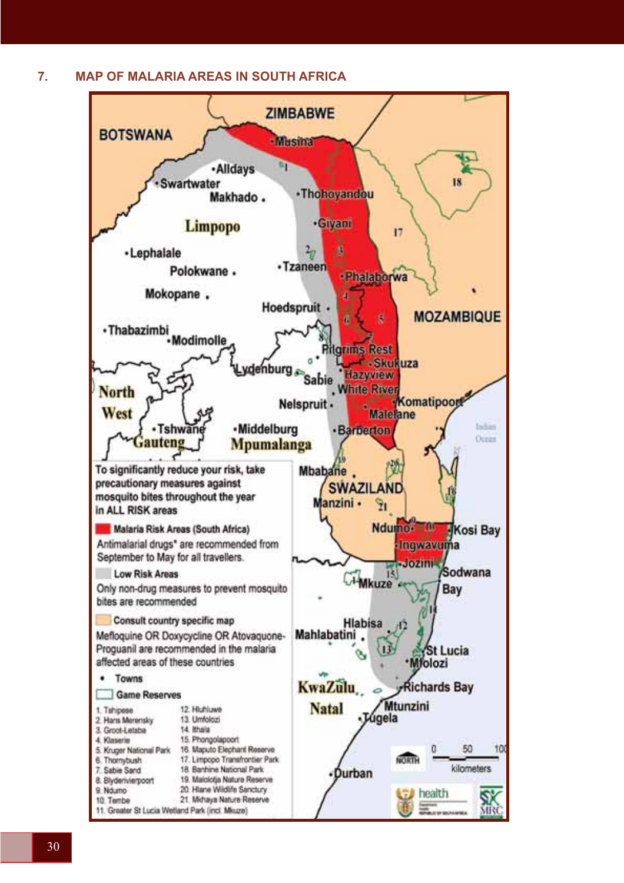**7. MAP OF MALARIA AREAS IN SOUTH AFRICA**

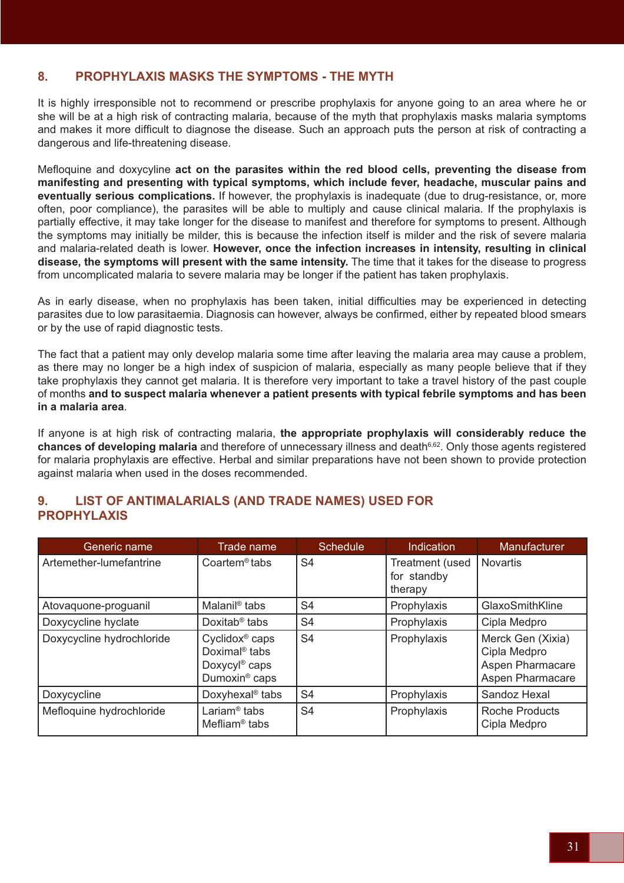# **8. PROPHYLAXIS MASKS THE SYMPTOMS - THE MYTH**

It is highly irresponsible not to recommend or prescribe prophylaxis for anyone going to an area where he or she will be at a high risk of contracting malaria, because of the myth that prophylaxis masks malaria symptoms and makes it more difficult to diagnose the disease. Such an approach puts the person at risk of contracting a dangerous and life-threatening disease.

Mefloquine and doxycyline **act on the parasites within the red blood cells, preventing the disease from manifesting and presenting with typical symptoms, which include fever, headache, muscular pains and eventually serious complications.** If however, the prophylaxis is inadequate (due to drug-resistance, or, more often, poor compliance), the parasites will be able to multiply and cause clinical malaria. If the prophylaxis is partially effective, it may take longer for the disease to manifest and therefore for symptoms to present. Although the symptoms may initially be milder, this is because the infection itself is milder and the risk of severe malaria and malaria-related death is lower. **However, once the infection increases in intensity, resulting in clinical disease, the symptoms will present with the same intensity.** The time that it takes for the disease to progress from uncomplicated malaria to severe malaria may be longer if the patient has taken prophylaxis.

As in early disease, when no prophylaxis has been taken, initial difficulties may be experienced in detecting parasites due to low parasitaemia. Diagnosis can however, always be confirmed, either by repeated blood smears or by the use of rapid diagnostic tests.

The fact that a patient may only develop malaria some time after leaving the malaria area may cause a problem, as there may no longer be a high index of suspicion of malaria, especially as many people believe that if they take prophylaxis they cannot get malaria. It is therefore very important to take a travel history of the past couple of months **and to suspect malaria whenever a patient presents with typical febrile symptoms and has been in a malaria area**.

If anyone is at high risk of contracting malaria, **the appropriate prophylaxis will considerably reduce the**  chances of developing malaria and therefore of unnecessary illness and death<sup>6,62</sup>. Only those agents registered for malaria prophylaxis are effective. Herbal and similar preparations have not been shown to provide protection against malaria when used in the doses recommended.

# **9. LIST OF ANTIMALARIALS (AND TRADE NAMES) USED FOR PROPHYLAXIS**

| Generic name              | Trade name                                                                                                        | <b>Schedule</b> | Indication                                | Manufacturer                                                              |
|---------------------------|-------------------------------------------------------------------------------------------------------------------|-----------------|-------------------------------------------|---------------------------------------------------------------------------|
| Artemether-lumefantrine   | $Coartem®$ tabs                                                                                                   | S <sub>4</sub>  | Treatment (used<br>for standby<br>therapy | <b>Novartis</b>                                                           |
| Atovaquone-proguanil      | Malanil <sup>®</sup> tabs                                                                                         | S4              | Prophylaxis                               | GlaxoSmithKline                                                           |
| Doxycycline hyclate       | Doxitab <sup>®</sup> tabs                                                                                         | S4              | Prophylaxis                               | Cipla Medpro                                                              |
| Doxycycline hydrochloride | Cyclidox <sup>®</sup> caps<br>Doximal <sup>®</sup> tabs<br>Doxycyl <sup>®</sup> caps<br>Dumoxin <sup>®</sup> caps | S <sub>4</sub>  | Prophylaxis                               | Merck Gen (Xixia)<br>Cipla Medpro<br>Aspen Pharmacare<br>Aspen Pharmacare |
| Doxycycline               | Doxyhexal <sup>®</sup> tabs                                                                                       | S <sub>4</sub>  | Prophylaxis                               | Sandoz Hexal                                                              |
| Mefloquine hydrochloride  | Lariam <sup>®</sup> tabs<br>Mefliam <sup>®</sup> tabs                                                             | S <sub>4</sub>  | Prophylaxis                               | <b>Roche Products</b><br>Cipla Medpro                                     |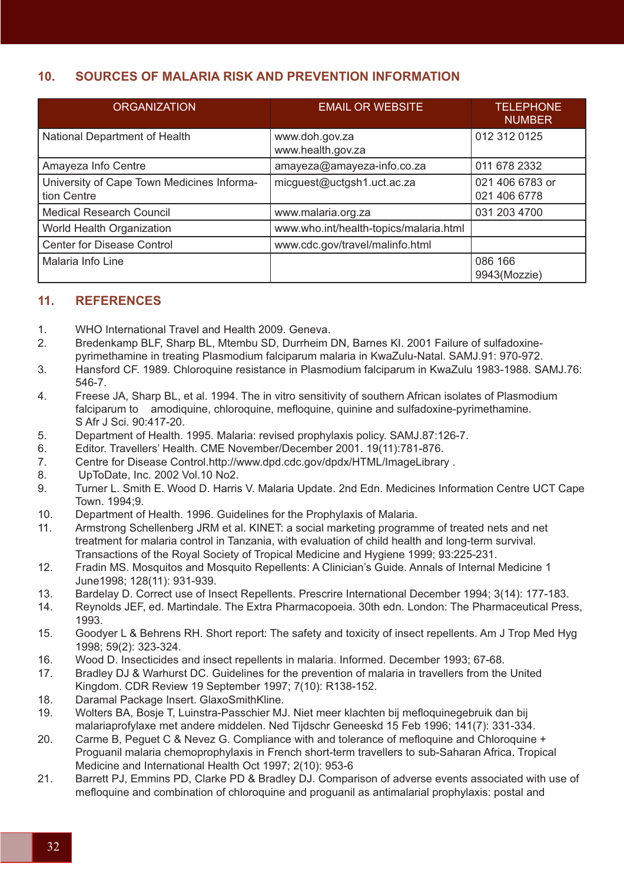# **10. SOURCES OF MALARIA RISK AND PREVENTION INFORMATION**

| <b>ORGANIZATION</b>                                       | <b>EMAIL OR WEBSITE</b>                | <b>TELEPHONE</b><br><b>NUMBER</b> |
|-----------------------------------------------------------|----------------------------------------|-----------------------------------|
| National Department of Health                             | www.doh.gov.za<br>www.health.gov.za    | 012 312 0125                      |
| Amayeza Info Centre                                       | amayeza@amayeza-info.co.za             | 011 678 2332                      |
| University of Cape Town Medicines Informa-<br>tion Centre | micguest@uctgsh1.uct.ac.za             | 021 406 6783 or<br>021 406 6778   |
| <b>Medical Research Council</b>                           | www.malaria.org.za                     | 031 203 4700                      |
| World Health Organization                                 | www.who.int/health-topics/malaria.html |                                   |
| <b>Center for Disease Control</b>                         | www.cdc.gov/travel/malinfo.html        |                                   |
| Malaria Info Line                                         |                                        | 086 166<br>9943(Mozzie)           |

# **11. REFERENCES**

- 1. WHO International Travel and Health 2009. Geneva.
- 2. Bredenkamp BLF, Sharp BL, Mtembu SD, Durrheim DN, Barnes KI. 2001 Failure of sulfadoxine pyrimethamine in treating Plasmodium falciparum malaria in KwaZulu-Natal. SAMJ.91: 970-972.
- 3. Hansford CF. 1989. Chloroquine resistance in Plasmodium falciparum in KwaZulu 1983-1988. SAMJ.76: 546-7.
- 4. Freese JA, Sharp BL, et al. 1994. The in vitro sensitivity of southern African isolates of Plasmodium falciparum to amodiquine, chloroquine, mefloquine, quinine and sulfadoxine-pyrimethamine. S Afr J Sci. 90:417-20.
- 5. Department of Health. 1995. Malaria: revised prophylaxis policy. SAMJ.87:126-7.
- 6. Editor. Travellers' Health. CME November/December 2001. 19(11):781-876.
- 7. Centre for Disease Control.http://www.dpd.cdc.gov/dpdx/HTML/ImageLibrary .
- 8. UpToDate, Inc. 2002 Vol.10 No2.
- 9. Turner L. Smith E. Wood D. Harris V. Malaria Update. 2nd Edn. Medicines Information Centre UCT Cape Town. 1994;9.
- 10. Department of Health. 1996. Guidelines for the Prophylaxis of Malaria.
- 11. Armstrong Schellenberg JRM et al. KINET: a social marketing programme of treated nets and net treatment for malaria control in Tanzania, with evaluation of child health and long-term survival. Transactions of the Royal Society of Tropical Medicine and Hygiene 1999; 93:225-231.
- 12. Fradin MS. Mosquitos and Mosquito Repellents: A Clinician's Guide. Annals of Internal Medicine 1 June1998; 128(11): 931-939.
- 13. Bardelay D. Correct use of Insect Repellents. Prescrire International December 1994; 3(14): 177-183.
- 14. Reynolds JEF, ed. Martindale. The Extra Pharmacopoeia. 30th edn. London: The Pharmaceutical Press, 1993.
- 15. Goodyer L & Behrens RH. Short report: The safety and toxicity of insect repellents. Am J Trop Med Hyg 1998; 59(2): 323-324.
- 16. Wood D. Insecticides and insect repellents in malaria. Informed. December 1993; 67-68.
- 17. Bradley DJ & Warhurst DC. Guidelines for the prevention of malaria in travellers from the United Kingdom. CDR Review 19 September 1997; 7(10): R138-152.
- 18. Daramal Package Insert. GlaxoSmithKline.
- 19. Wolters BA, Bosje T, Luinstra-Passchier MJ. Niet meer klachten bij mefloquinegebruik dan bij malariaprofylaxe met andere middelen. Ned Tijdschr Geneeskd 15 Feb 1996; 141(7): 331-334.
- 20. Carme B, Peguet C & Nevez G. Compliance with and tolerance of mefloquine and Chloroquine + Proguanil malaria chemoprophylaxis in French short-term travellers to sub-Saharan Africa. Tropical Medicine and International Health Oct 1997; 2(10): 953-6
- 21. Barrett PJ, Emmins PD, Clarke PD & Bradley DJ. Comparison of adverse events associated with use of mefloquine and combination of chloroquine and proguanil as antimalarial prophylaxis: postal and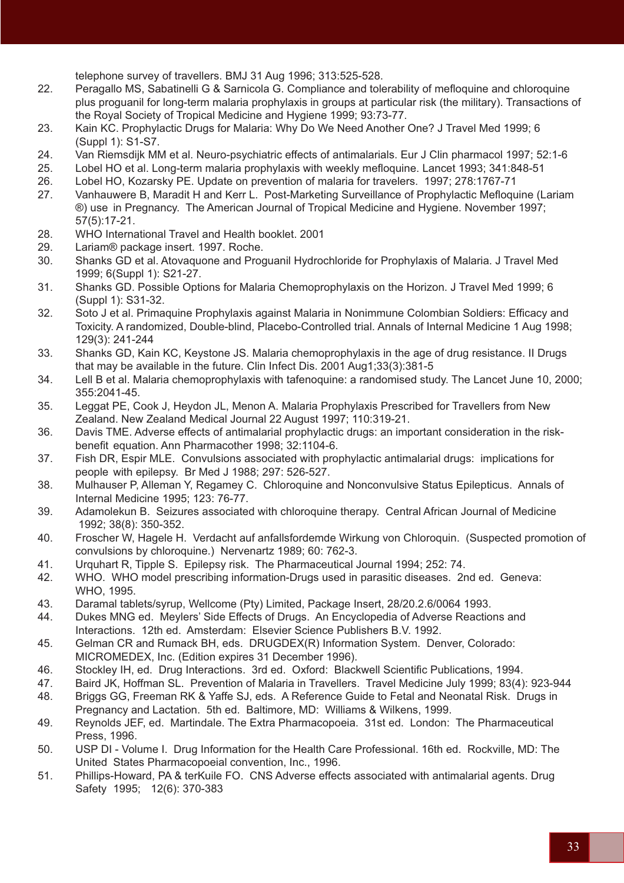telephone survey of travellers. BMJ 31 Aug 1996; 313:525-528.

- 22. Peragallo MS, Sabatinelli G & Sarnicola G. Compliance and tolerability of mefloquine and chloroquine plus proguanil for long-term malaria prophylaxis in groups at particular risk (the military). Transactions of the Royal Society of Tropical Medicine and Hygiene 1999; 93:73-77.
- 23. Kain KC. Prophylactic Drugs for Malaria: Why Do We Need Another One? J Travel Med 1999; 6 (Suppl 1): S1-S7.
- 24. Van Riemsdijk MM et al. Neuro-psychiatric effects of antimalarials. Eur J Clin pharmacol 1997; 52:1-6
- 25. Lobel HO et al. Long-term malaria prophylaxis with weekly mefloquine. Lancet 1993; 341:848-51
- 26. Lobel HO, Kozarsky PE. Update on prevention of malaria for travelers. 1997; 278:1767-71
- 27. Vanhauwere B, Maradit H and Kerr L. Post-Marketing Surveillance of Prophylactic Mefloquine (Lariam ®) use in Pregnancy. The American Journal of Tropical Medicine and Hygiene. November 1997; 57(5):17-21.
- 28. WHO International Travel and Health booklet. 2001
- 29. Lariam® package insert. 1997. Roche.
- 30. Shanks GD et al. Atovaquone and Proguanil Hydrochloride for Prophylaxis of Malaria. J Travel Med 1999; 6(Suppl 1): S21-27.
- 31. Shanks GD. Possible Options for Malaria Chemoprophylaxis on the Horizon. J Travel Med 1999; 6 (Suppl 1): S31-32.
- 32. Soto J et al. Primaquine Prophylaxis against Malaria in Nonimmune Colombian Soldiers: Efficacy and Toxicity. A randomized, Double-blind, Placebo-Controlled trial. Annals of Internal Medicine 1 Aug 1998; 129(3): 241-244
- 33. Shanks GD, Kain KC, Keystone JS. Malaria chemoprophylaxis in the age of drug resistance. II Drugs that may be available in the future. Clin Infect Dis. 2001 Aug1;33(3):381-5
- 34. Lell B et al. Malaria chemoprophylaxis with tafenoquine: a randomised study. The Lancet June 10, 2000; 355:2041-45.
- 35. Leggat PE, Cook J, Heydon JL, Menon A. Malaria Prophylaxis Prescribed for Travellers from New Zealand. New Zealand Medical Journal 22 August 1997; 110:319-21.
- 36. Davis TME. Adverse effects of antimalarial prophylactic drugs: an important consideration in the risk benefit equation. Ann Pharmacother 1998; 32:1104-6.
- 37. Fish DR, Espir MLE. Convulsions associated with prophylactic antimalarial drugs: implications for people with epilepsy. Br Med J 1988; 297: 526-527.
- 38. Mulhauser P, Alleman Y, Regamey C. Chloroquine and Nonconvulsive Status Epilepticus. Annals of Internal Medicine 1995; 123: 76-77.
- 39. Adamolekun B. Seizures associated with chloroquine therapy. Central African Journal of Medicine 1992; 38(8): 350-352.
- 40. Froscher W, Hagele H. Verdacht auf anfallsfordemde Wirkung von Chloroquin. (Suspected promotion of convulsions by chloroquine.) Nervenartz 1989; 60: 762-3.
- 41. Urquhart R, Tipple S. Epilepsy risk. The Pharmaceutical Journal 1994; 252: 74.
- 42. WHO. WHO model prescribing information-Drugs used in parasitic diseases. 2nd ed. Geneva: WHO, 1995.
- 43. Daramal tablets/syrup, Wellcome (Pty) Limited, Package Insert, 28/20.2.6/0064 1993.
- 44. Dukes MNG ed. Meylers' Side Effects of Drugs. An Encyclopedia of Adverse Reactions and Interactions. 12th ed. Amsterdam: Elsevier Science Publishers B.V. 1992.
- 45. Gelman CR and Rumack BH, eds. DRUGDEX(R) Information System. Denver, Colorado: MICROMEDEX, Inc. (Edition expires 31 December 1996).
- 46. Stockley IH, ed. Drug Interactions. 3rd ed. Oxford: Blackwell Scientific Publications, 1994.
- 47. Baird JK, Hoffman SL. Prevention of Malaria in Travellers. Travel Medicine July 1999; 83(4): 923-944 48. Briggs GG, Freeman RK & Yaffe SJ, eds. A Reference Guide to Fetal and Neonatal Risk. Drugs in
- Pregnancy and Lactation. 5th ed. Baltimore, MD: Williams & Wilkens, 1999.
- 49. Reynolds JEF, ed. Martindale. The Extra Pharmacopoeia. 31st ed. London: The Pharmaceutical Press, 1996.
- 50. USP DI Volume I. Drug Information for the Health Care Professional. 16th ed. Rockville, MD: The United States Pharmacopoeial convention, Inc., 1996.
- 51. Phillips-Howard, PA & terKuile FO. CNS Adverse effects associated with antimalarial agents. Drug Safety 1995; 12(6): 370-383